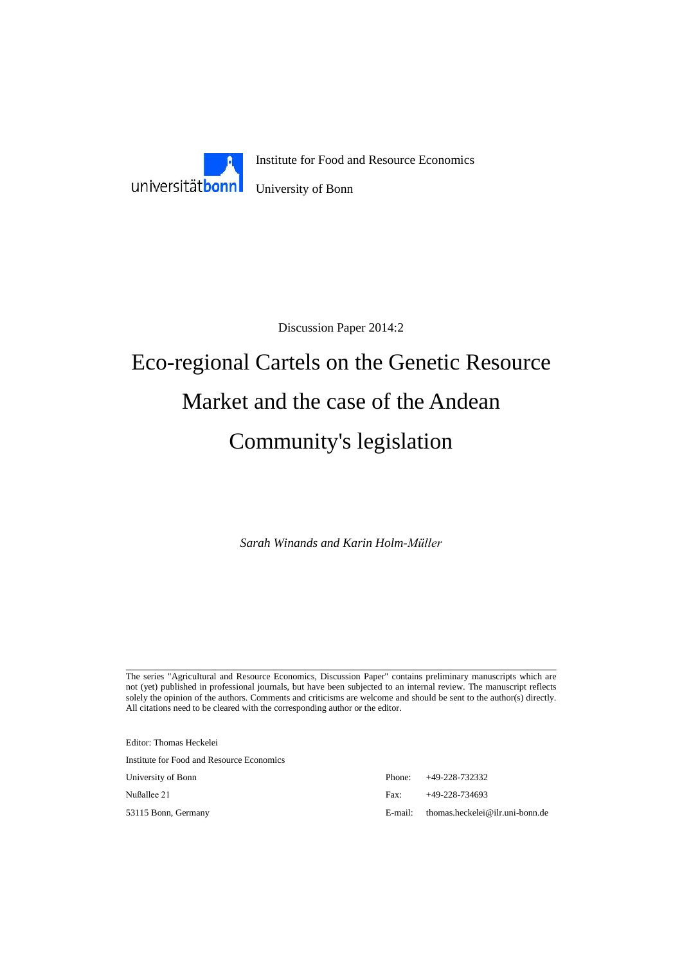

Discussion Paper 2014:2

# Eco-regional Cartels on the Genetic Resource Market and the case of the Andean Community's legislation

*Sarah Winands and Karin Holm-Müller*

The series "Agricultural and Resource Economics, Discussion Paper" contains preliminary manuscripts which are not (yet) published in professional journals, but have been subjected to an internal review. The manuscript reflects solely the opinion of the authors. Comments and criticisms are welcome and should be sent to the author(s) directly. All citations need to be cleared with the corresponding author or the editor.

Editor: Thomas Heckelei Institute for Food and Resource Economics University of Bonn Nußallee 21

53115 Bonn, Germany

|      | Phone: $+49-228-732332$                    |
|------|--------------------------------------------|
| Fax: | $+49-228-734693$                           |
|      | $E$ -mail: thomas.heckelei@ilr.uni-bonn.de |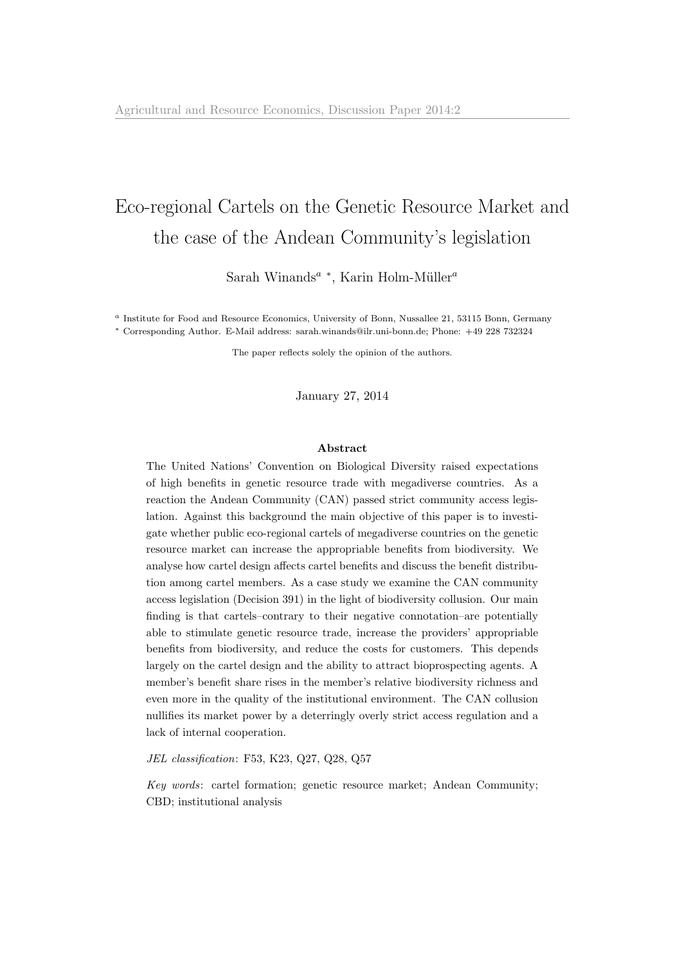# <span id="page-1-0"></span>Eco-regional Cartels on the Genetic Resource Market and the case of the Andean Community's legislation

Sarah Winands<sup>a</sup> \*, Karin Holm-Müller<sup>a</sup>

<sup>a</sup> Institute for Food and Resource Economics, University of Bonn, Nussallee 21, 53115 Bonn, Germany <sup>∗</sup> Corresponding Author. E-Mail address: sarah.winands@ilr.uni-bonn.de; Phone: +49 228 732324

The paper reflects solely the opinion of the authors.

January 27, 2014

#### Abstract

The United Nations' Convention on Biological Diversity raised expectations of high benefits in genetic resource trade with megadiverse countries. As a reaction the Andean Community (CAN) passed strict community access legislation. Against this background the main objective of this paper is to investigate whether public eco-regional cartels of megadiverse countries on the genetic resource market can increase the appropriable benefits from biodiversity. We analyse how cartel design affects cartel benefits and discuss the benefit distribution among cartel members. As a case study we examine the CAN community access legislation (Decision 391) in the light of biodiversity collusion. Our main finding is that cartels–contrary to their negative connotation–are potentially able to stimulate genetic resource trade, increase the providers' appropriable benefits from biodiversity, and reduce the costs for customers. This depends largely on the cartel design and the ability to attract bioprospecting agents. A member's benefit share rises in the member's relative biodiversity richness and even more in the quality of the institutional environment. The CAN collusion nullifies its market power by a deterringly overly strict access regulation and a lack of internal cooperation.

JEL classification: F53, K23, Q27, Q28, Q57

Key words: cartel formation; genetic resource market; Andean Community; CBD; institutional analysis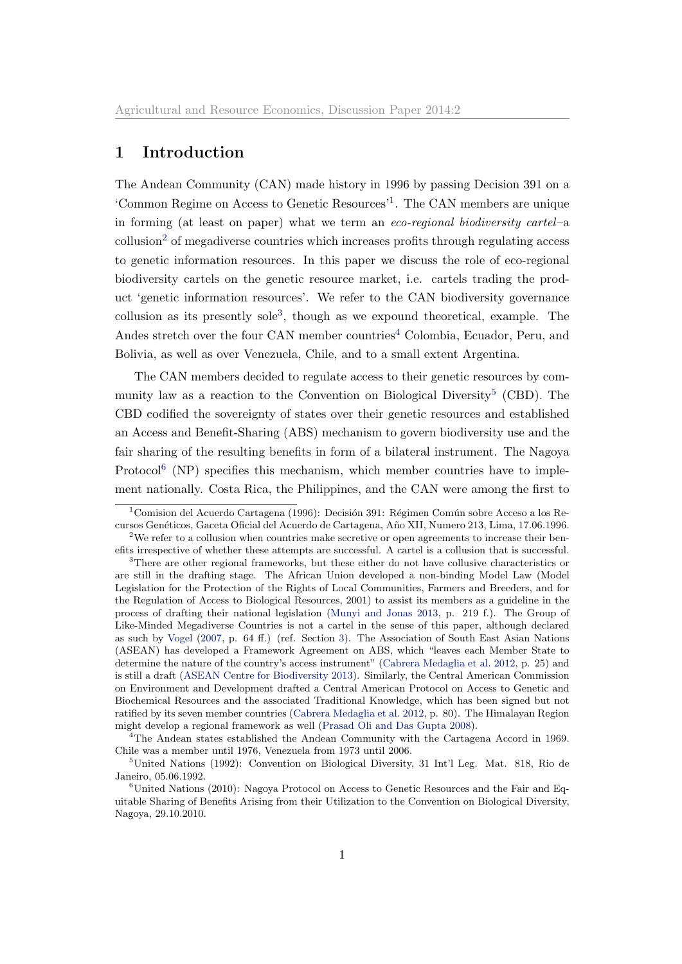# 1 Introduction

The Andean Community (CAN) made history in 1996 by passing Decision 391 on a 'Common Regime on Access to Genetic Resources'[1](#page-1-0) . The CAN members are unique in forming (at least on paper) what we term an eco-regional biodiversity cartel–a collusion<sup>[2](#page-1-0)</sup> of megadiverse countries which increases profits through regulating access to genetic information resources. In this paper we discuss the role of eco-regional biodiversity cartels on the genetic resource market, i.e. cartels trading the product 'genetic information resources'. We refer to the CAN biodiversity governance collusion as its presently sole[3](#page-1-0) , though as we expound theoretical, example. The Andes stretch over the four CAN member countries<sup>[4](#page-1-0)</sup> Colombia, Ecuador, Peru, and Bolivia, as well as over Venezuela, Chile, and to a small extent Argentina.

The CAN members decided to regulate access to their genetic resources by com-munity law as a reaction to the Convention on Biological Diversity<sup>[5](#page-1-0)</sup> (CBD). The CBD codified the sovereignty of states over their genetic resources and established an Access and Benefit-Sharing (ABS) mechanism to govern biodiversity use and the fair sharing of the resulting benefits in form of a bilateral instrument. The Nagoya Protocol<sup>[6](#page-1-0)</sup> (NP) specifies this mechanism, which member countries have to implement nationally. Costa Rica, the Philippines, and the CAN were among the first to

<sup>&</sup>lt;sup>1</sup> Comision del Acuerdo Cartagena (1996): Decisión 391: Régimen Común sobre Acceso a los Recursos Gen´eticos, Gaceta Oficial del Acuerdo de Cartagena, A˜no XII, Numero 213, Lima, 17.06.1996.

<sup>&</sup>lt;sup>2</sup>We refer to a collusion when countries make secretive or open agreements to increase their benefits irrespective of whether these attempts are successful. A cartel is a collusion that is successful.

<sup>&</sup>lt;sup>3</sup>There are other regional frameworks, but these either do not have collusive characteristics or are still in the drafting stage. The African Union developed a non-binding Model Law (Model Legislation for the Protection of the Rights of Local Communities, Farmers and Breeders, and for the Regulation of Access to Biological Resources, 2001) to assist its members as a guideline in the process of drafting their national legislation [\(Munyi and Jonas](#page-30-0) [2013,](#page-30-0) p. 219 f.). The Group of Like-Minded Megadiverse Countries is not a cartel in the sense of this paper, although declared as such by [Vogel](#page-32-0) [\(2007,](#page-32-0) p. 64 ff.) (ref. Section [3\)](#page-6-0). The Association of South East Asian Nations (ASEAN) has developed a Framework Agreement on ABS, which "leaves each Member State to determine the nature of the country's access instrument" [\(Cabrera Medaglia et al.](#page-29-0) [2012,](#page-29-0) p. 25) and is still a draft [\(ASEAN Centre for Biodiversity](#page-29-1) [2013\)](#page-29-1). Similarly, the Central American Commission on Environment and Development drafted a Central American Protocol on Access to Genetic and Biochemical Resources and the associated Traditional Knowledge, which has been signed but not ratified by its seven member countries [\(Cabrera Medaglia et al.](#page-29-0) [2012,](#page-29-0) p. 80). The Himalayan Region might develop a regional framework as well [\(Prasad Oli and Das Gupta](#page-31-0) [2008\)](#page-31-0).

<sup>&</sup>lt;sup>4</sup>The Andean states established the Andean Community with the Cartagena Accord in 1969. Chile was a member until 1976, Venezuela from 1973 until 2006.

<sup>5</sup>United Nations (1992): Convention on Biological Diversity, 31 Int'l Leg. Mat. 818, Rio de Janeiro, 05.06.1992.

 $6$ United Nations (2010): Nagoya Protocol on Access to Genetic Resources and the Fair and Equitable Sharing of Benefits Arising from their Utilization to the Convention on Biological Diversity, Nagoya, 29.10.2010.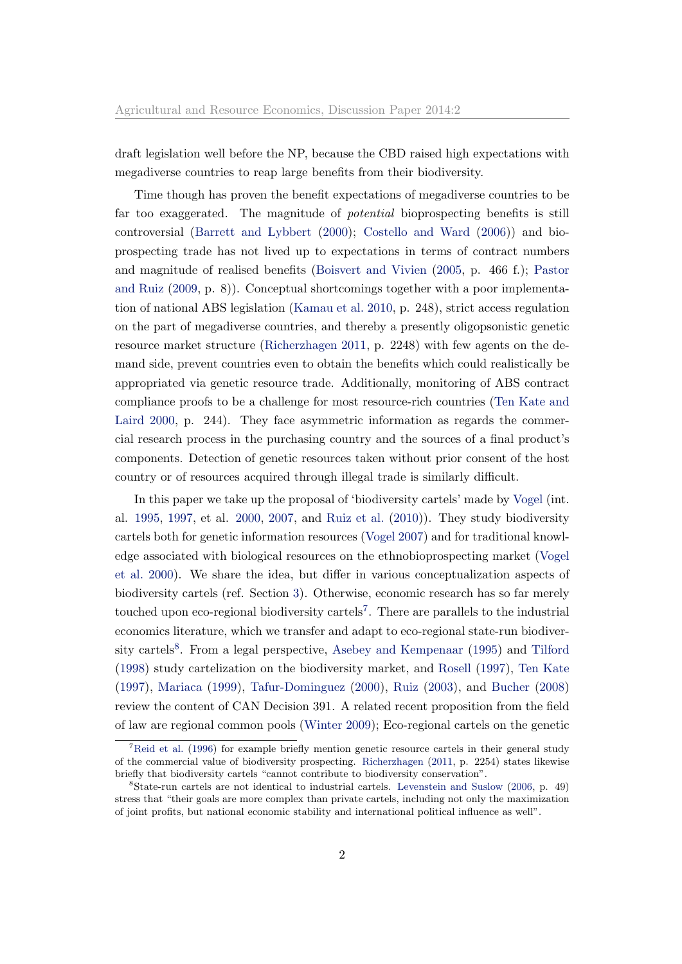draft legislation well before the NP, because the CBD raised high expectations with megadiverse countries to reap large benefits from their biodiversity.

Time though has proven the benefit expectations of megadiverse countries to be far too exaggerated. The magnitude of potential bioprospecting benefits is still controversial [\(Barrett and Lybbert](#page-29-2) [\(2000\)](#page-29-2); [Costello and Ward](#page-29-3) [\(2006\)](#page-29-3)) and bioprospecting trade has not lived up to expectations in terms of contract numbers and magnitude of realised benefits [\(Boisvert and Vivien](#page-29-4) [\(2005,](#page-29-4) p. 466 f.); [Pastor](#page-31-1) [and Ruiz](#page-31-1) [\(2009,](#page-31-1) p. 8)). Conceptual shortcomings together with a poor implementation of national ABS legislation [\(Kamau et al.](#page-30-1) [2010,](#page-30-1) p. 248), strict access regulation on the part of megadiverse countries, and thereby a presently oligopsonistic genetic resource market structure [\(Richerzhagen](#page-31-2) [2011,](#page-31-2) p. 2248) with few agents on the demand side, prevent countries even to obtain the benefits which could realistically be appropriated via genetic resource trade. Additionally, monitoring of ABS contract compliance proofs to be a challenge for most resource-rich countries [\(Ten Kate and](#page-32-1) [Laird](#page-32-1) [2000,](#page-32-1) p. 244). They face asymmetric information as regards the commercial research process in the purchasing country and the sources of a final product's components. Detection of genetic resources taken without prior consent of the host country or of resources acquired through illegal trade is similarly difficult.

In this paper we take up the proposal of 'biodiversity cartels' made by [Vogel](#page-32-0) (int. al. [1995,](#page-32-2) [1997,](#page-32-3) et al. [2000,](#page-32-4) [2007,](#page-32-0) and [Ruiz et al.](#page-31-3) [\(2010\)](#page-31-3)). They study biodiversity cartels both for genetic information resources [\(Vogel](#page-32-0) [2007\)](#page-32-0) and for traditional knowledge associated with biological resources on the ethnobioprospecting market [\(Vogel](#page-32-4) [et al.](#page-32-4) [2000\)](#page-32-4). We share the idea, but differ in various conceptualization aspects of biodiversity cartels (ref. Section [3\)](#page-6-0). Otherwise, economic research has so far merely touched upon eco-regional biodiversity cartels<sup>[7](#page-1-0)</sup>. There are parallels to the industrial economics literature, which we transfer and adapt to eco-regional state-run biodiver-sity cartels<sup>[8](#page-1-0)</sup>. From a legal perspective, [Asebey and Kempenaar](#page-29-5) [\(1995\)](#page-29-5) and [Tilford](#page-32-5) [\(1998\)](#page-32-5) study cartelization on the biodiversity market, and [Rosell](#page-31-4) [\(1997\)](#page-31-4), [Ten Kate](#page-32-6) [\(1997\)](#page-32-6), [Mariaca](#page-30-2) [\(1999\)](#page-30-2), [Tafur-Dominguez](#page-32-7) [\(2000\)](#page-32-7), [Ruiz](#page-31-5) [\(2003\)](#page-31-5), and [Bucher](#page-29-6) [\(2008\)](#page-29-6) review the content of CAN Decision 391. A related recent proposition from the field of law are regional common pools [\(Winter](#page-33-0) [2009\)](#page-33-0); Eco-regional cartels on the genetic

 ${}^{7}$ [Reid et al.](#page-31-6) [\(1996\)](#page-31-6) for example briefly mention genetic resource cartels in their general study of the commercial value of biodiversity prospecting. [Richerzhagen](#page-31-2) [\(2011,](#page-31-2) p. 2254) states likewise briefly that biodiversity cartels "cannot contribute to biodiversity conservation".

<sup>8</sup>State-run cartels are not identical to industrial cartels. [Levenstein and Suslow](#page-30-3) [\(2006,](#page-30-3) p. 49) stress that "their goals are more complex than private cartels, including not only the maximization of joint profits, but national economic stability and international political influence as well".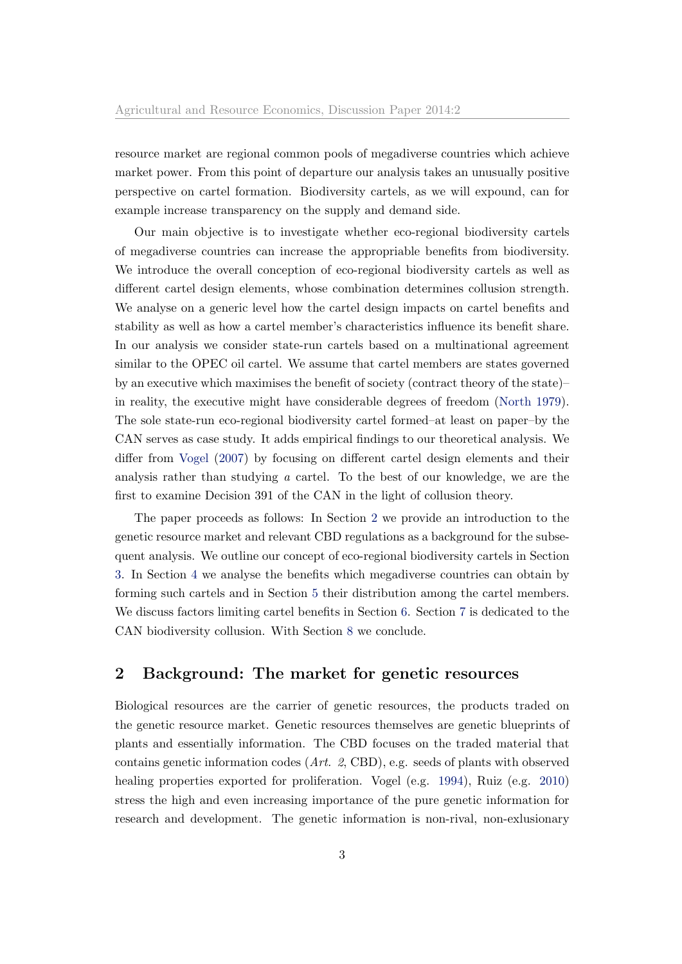resource market are regional common pools of megadiverse countries which achieve market power. From this point of departure our analysis takes an unusually positive perspective on cartel formation. Biodiversity cartels, as we will expound, can for example increase transparency on the supply and demand side.

Our main objective is to investigate whether eco-regional biodiversity cartels of megadiverse countries can increase the appropriable benefits from biodiversity. We introduce the overall conception of eco-regional biodiversity cartels as well as different cartel design elements, whose combination determines collusion strength. We analyse on a generic level how the cartel design impacts on cartel benefits and stability as well as how a cartel member's characteristics influence its benefit share. In our analysis we consider state-run cartels based on a multinational agreement similar to the OPEC oil cartel. We assume that cartel members are states governed by an executive which maximises the benefit of society (contract theory of the state)– in reality, the executive might have considerable degrees of freedom [\(North](#page-31-7) [1979\)](#page-31-7). The sole state-run eco-regional biodiversity cartel formed–at least on paper–by the CAN serves as case study. It adds empirical findings to our theoretical analysis. We differ from [Vogel](#page-32-0) [\(2007\)](#page-32-0) by focusing on different cartel design elements and their analysis rather than studying a cartel. To the best of our knowledge, we are the first to examine Decision 391 of the CAN in the light of collusion theory.

The paper proceeds as follows: In Section [2](#page-4-0) we provide an introduction to the genetic resource market and relevant CBD regulations as a background for the subsequent analysis. We outline our concept of eco-regional biodiversity cartels in Section [3.](#page-6-0) In Section [4](#page-10-0) we analyse the benefits which megadiverse countries can obtain by forming such cartels and in Section [5](#page-13-0) their distribution among the cartel members. We discuss factors limiting cartel benefits in Section [6.](#page-16-0) Section [7](#page-18-0) is dedicated to the CAN biodiversity collusion. With Section [8](#page-27-0) we conclude.

# <span id="page-4-0"></span>2 Background: The market for genetic resources

Biological resources are the carrier of genetic resources, the products traded on the genetic resource market. Genetic resources themselves are genetic blueprints of plants and essentially information. The CBD focuses on the traded material that contains genetic information codes (Art. 2, CBD), e.g. seeds of plants with observed healing properties exported for proliferation. Vogel (e.g. [1994\)](#page-32-8), Ruiz (e.g. [2010\)](#page-31-3) stress the high and even increasing importance of the pure genetic information for research and development. The genetic information is non-rival, non-exlusionary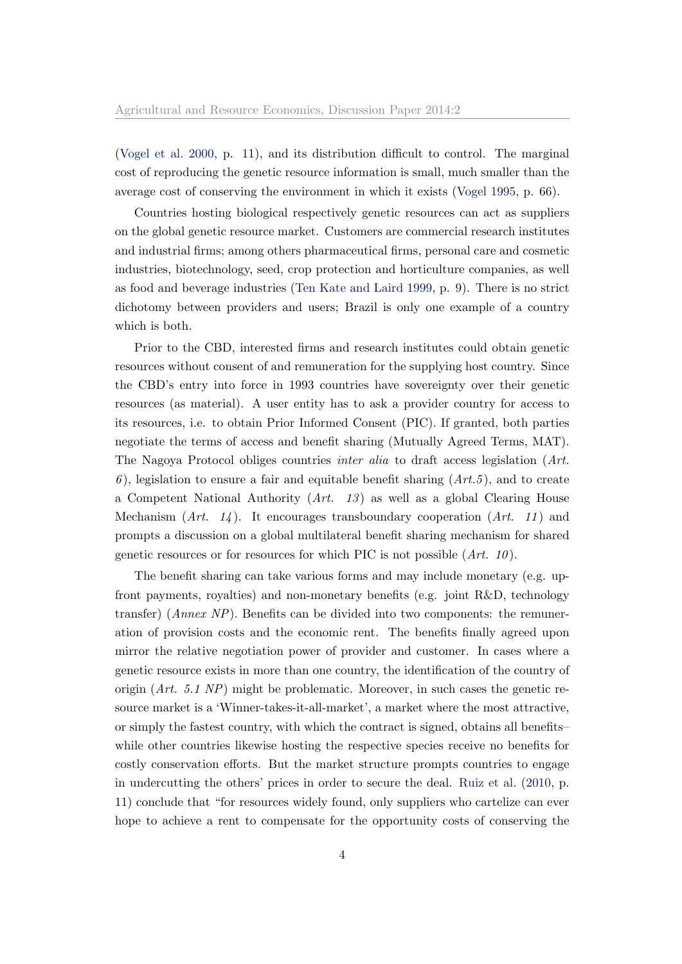[\(Vogel et al.](#page-32-4) [2000,](#page-32-4) p. 11), and its distribution difficult to control. The marginal cost of reproducing the genetic resource information is small, much smaller than the average cost of conserving the environment in which it exists [\(Vogel](#page-32-2) [1995,](#page-32-2) p. 66).

Countries hosting biological respectively genetic resources can act as suppliers on the global genetic resource market. Customers are commercial research institutes and industrial firms; among others pharmaceutical firms, personal care and cosmetic industries, biotechnology, seed, crop protection and horticulture companies, as well as food and beverage industries [\(Ten Kate and Laird](#page-32-9) [1999,](#page-32-9) p. 9). There is no strict dichotomy between providers and users; Brazil is only one example of a country which is both.

Prior to the CBD, interested firms and research institutes could obtain genetic resources without consent of and remuneration for the supplying host country. Since the CBD's entry into force in 1993 countries have sovereignty over their genetic resources (as material). A user entity has to ask a provider country for access to its resources, i.e. to obtain Prior Informed Consent (PIC). If granted, both parties negotiate the terms of access and benefit sharing (Mutually Agreed Terms, MAT). The Nagoya Protocol obliges countries inter alia to draft access legislation (Art. 6), legislation to ensure a fair and equitable benefit sharing  $(Art.5)$ , and to create a Competent National Authority  $(Art. 13)$  as well as a global Clearing House Mechanism  $(Art. 14)$ . It encourages transboundary cooperation  $(Art. 11)$  and prompts a discussion on a global multilateral benefit sharing mechanism for shared genetic resources or for resources for which PIC is not possible  $(Art. 10)$ .

The benefit sharing can take various forms and may include monetary (e.g. upfront payments, royalties) and non-monetary benefits (e.g. joint R&D, technology transfer) (Annex NP). Benefits can be divided into two components: the remuneration of provision costs and the economic rent. The benefits finally agreed upon mirror the relative negotiation power of provider and customer. In cases where a genetic resource exists in more than one country, the identification of the country of origin  $(Art. 5.1 NP)$  might be problematic. Moreover, in such cases the genetic resource market is a 'Winner-takes-it-all-market', a market where the most attractive, or simply the fastest country, with which the contract is signed, obtains all benefits– while other countries likewise hosting the respective species receive no benefits for costly conservation efforts. But the market structure prompts countries to engage in undercutting the others' prices in order to secure the deal. [Ruiz et al.](#page-31-3) [\(2010,](#page-31-3) p. 11) conclude that "for resources widely found, only suppliers who cartelize can ever hope to achieve a rent to compensate for the opportunity costs of conserving the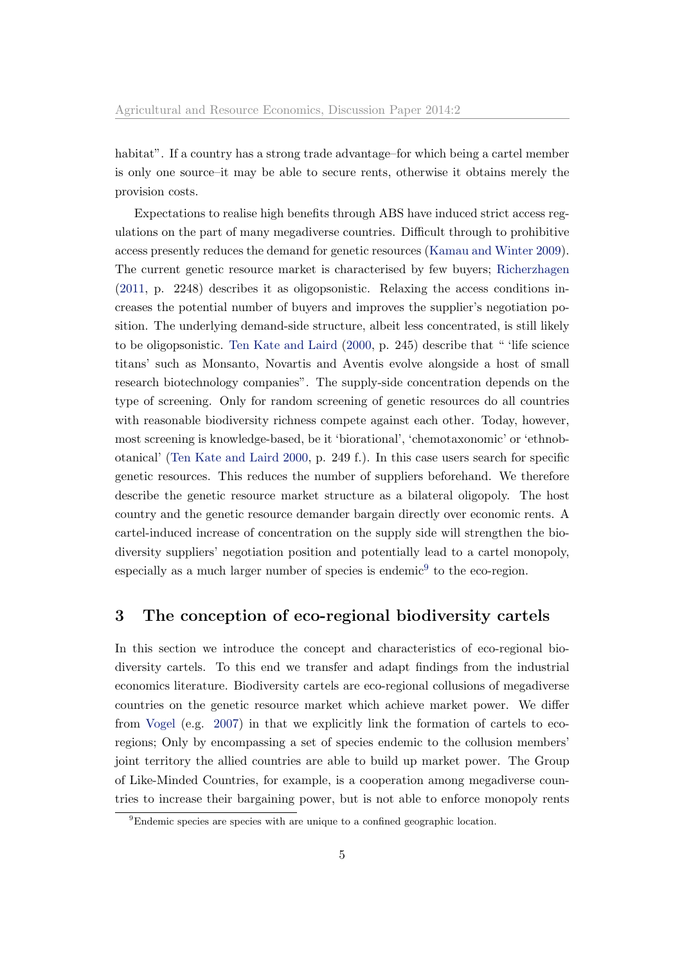habitat". If a country has a strong trade advantage–for which being a cartel member is only one source–it may be able to secure rents, otherwise it obtains merely the provision costs.

Expectations to realise high benefits through ABS have induced strict access regulations on the part of many megadiverse countries. Difficult through to prohibitive access presently reduces the demand for genetic resources [\(Kamau and Winter](#page-30-4) [2009\)](#page-30-4). The current genetic resource market is characterised by few buyers; [Richerzhagen](#page-31-2) [\(2011,](#page-31-2) p. 2248) describes it as oligopsonistic. Relaxing the access conditions increases the potential number of buyers and improves the supplier's negotiation position. The underlying demand-side structure, albeit less concentrated, is still likely to be oligopsonistic. [Ten Kate and Laird](#page-32-1) [\(2000,](#page-32-1) p. 245) describe that " 'life science titans' such as Monsanto, Novartis and Aventis evolve alongside a host of small research biotechnology companies". The supply-side concentration depends on the type of screening. Only for random screening of genetic resources do all countries with reasonable biodiversity richness compete against each other. Today, however, most screening is knowledge-based, be it 'biorational', 'chemotaxonomic' or 'ethnobotanical' [\(Ten Kate and Laird](#page-32-1) [2000,](#page-32-1) p. 249 f.). In this case users search for specific genetic resources. This reduces the number of suppliers beforehand. We therefore describe the genetic resource market structure as a bilateral oligopoly. The host country and the genetic resource demander bargain directly over economic rents. A cartel-induced increase of concentration on the supply side will strengthen the biodiversity suppliers' negotiation position and potentially lead to a cartel monopoly, especially as a much larger number of species is endemic<sup>[9](#page-1-0)</sup> to the eco-region.

## <span id="page-6-0"></span>3 The conception of eco-regional biodiversity cartels

In this section we introduce the concept and characteristics of eco-regional biodiversity cartels. To this end we transfer and adapt findings from the industrial economics literature. Biodiversity cartels are eco-regional collusions of megadiverse countries on the genetic resource market which achieve market power. We differ from [Vogel](#page-32-0) (e.g. [2007\)](#page-32-0) in that we explicitly link the formation of cartels to ecoregions; Only by encompassing a set of species endemic to the collusion members' joint territory the allied countries are able to build up market power. The Group of Like-Minded Countries, for example, is a cooperation among megadiverse countries to increase their bargaining power, but is not able to enforce monopoly rents

<sup>9</sup>Endemic species are species with are unique to a confined geographic location.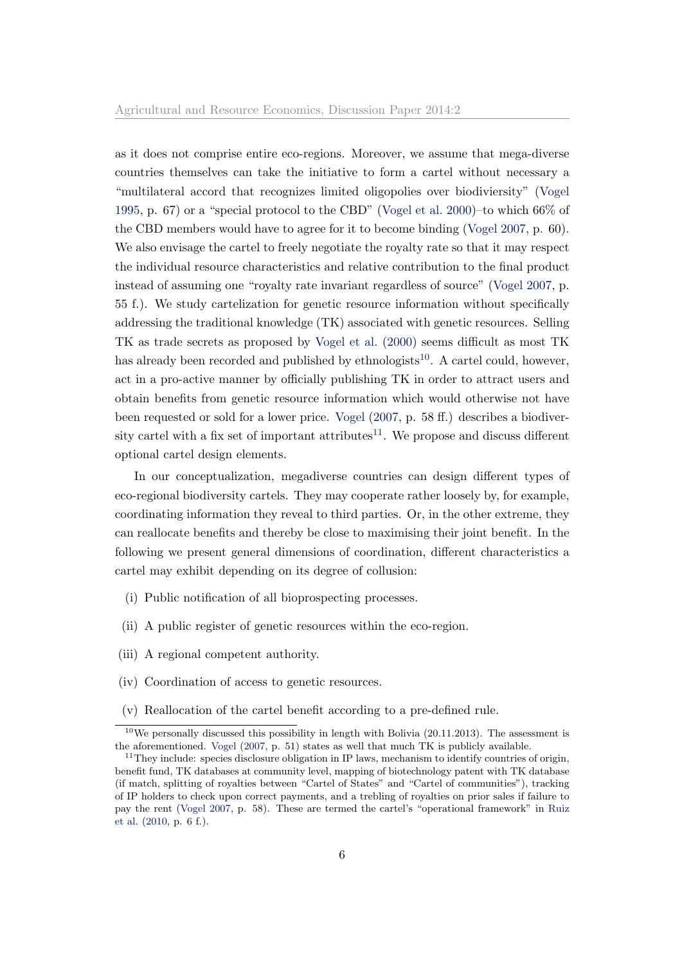as it does not comprise entire eco-regions. Moreover, we assume that mega-diverse countries themselves can take the initiative to form a cartel without necessary a "multilateral accord that recognizes limited oligopolies over biodiviersity" [\(Vogel](#page-32-2) [1995,](#page-32-2) p. 67) or a "special protocol to the CBD" [\(Vogel et al.](#page-32-4) [2000\)](#page-32-4)–to which  $66\%$  of the CBD members would have to agree for it to become binding [\(Vogel](#page-32-0) [2007,](#page-32-0) p. 60). We also envisage the cartel to freely negotiate the royalty rate so that it may respect the individual resource characteristics and relative contribution to the final product instead of assuming one "royalty rate invariant regardless of source" [\(Vogel](#page-32-0) [2007,](#page-32-0) p. 55 f.). We study cartelization for genetic resource information without specifically addressing the traditional knowledge (TK) associated with genetic resources. Selling TK as trade secrets as proposed by [Vogel et al.](#page-32-4) [\(2000\)](#page-32-4) seems difficult as most TK has already been recorded and published by ethnologists<sup>[10](#page-1-0)</sup>. A cartel could, however, act in a pro-active manner by officially publishing TK in order to attract users and obtain benefits from genetic resource information which would otherwise not have been requested or sold for a lower price. [Vogel](#page-32-0) [\(2007,](#page-32-0) p. 58 ff.) describes a biodiversity cartel with a fix set of important attributes $11$ . We propose and discuss different optional cartel design elements.

In our conceptualization, megadiverse countries can design different types of eco-regional biodiversity cartels. They may cooperate rather loosely by, for example, coordinating information they reveal to third parties. Or, in the other extreme, they can reallocate benefits and thereby be close to maximising their joint benefit. In the following we present general dimensions of coordination, different characteristics a cartel may exhibit depending on its degree of collusion:

- <span id="page-7-0"></span>(i) Public notification of all bioprospecting processes.
- <span id="page-7-1"></span>(ii) A public register of genetic resources within the eco-region.
- <span id="page-7-2"></span>(iii) A regional competent authority.
- <span id="page-7-3"></span>(iv) Coordination of access to genetic resources.
- <span id="page-7-4"></span>(v) Reallocation of the cartel benefit according to a pre-defined rule.

 $10$ We personally discussed this possibility in length with Bolivia (20.11.2013). The assessment is the aforementioned. [Vogel](#page-32-0) [\(2007,](#page-32-0) p. 51) states as well that much TK is publicly available.

 $11$ They include: species disclosure obligation in IP laws, mechanism to identify countries of origin, benefit fund, TK databases at community level, mapping of biotechnology patent with TK database (if match, splitting of royalties between "Cartel of States" and "Cartel of communities"), tracking of IP holders to check upon correct payments, and a trebling of royalties on prior sales if failure to pay the rent [\(Vogel](#page-32-0) [2007,](#page-32-0) p. 58). These are termed the cartel's "operational framework" in [Ruiz](#page-31-3) [et al.](#page-31-3) [\(2010,](#page-31-3) p. 6 f.).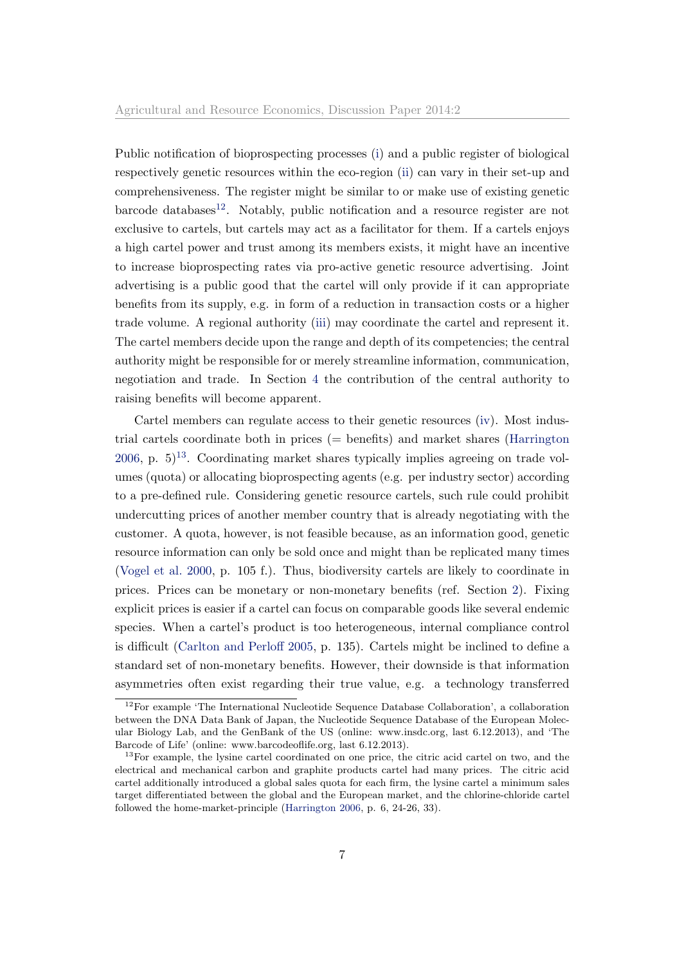Public notification of bioprospecting processes [\(i\)](#page-7-0) and a public register of biological respectively genetic resources within the eco-region [\(ii\)](#page-7-1) can vary in their set-up and comprehensiveness. The register might be similar to or make use of existing genetic  $barcode$  databases<sup>[12](#page-1-0)</sup>. Notably, public notification and a resource register are not exclusive to cartels, but cartels may act as a facilitator for them. If a cartels enjoys a high cartel power and trust among its members exists, it might have an incentive to increase bioprospecting rates via pro-active genetic resource advertising. Joint advertising is a public good that the cartel will only provide if it can appropriate benefits from its supply, e.g. in form of a reduction in transaction costs or a higher trade volume. A regional authority [\(iii\)](#page-7-2) may coordinate the cartel and represent it. The cartel members decide upon the range and depth of its competencies; the central authority might be responsible for or merely streamline information, communication, negotiation and trade. In Section [4](#page-10-0) the contribution of the central authority to raising benefits will become apparent.

Cartel members can regulate access to their genetic resources [\(iv\)](#page-7-3). Most industrial cartels coordinate both in prices (= benefits) and market shares [\(Harrington](#page-30-5) [2006,](#page-30-5) p.  $5)^{13}$  $5)^{13}$  $5)^{13}$ . Coordinating market shares typically implies agreeing on trade volumes (quota) or allocating bioprospecting agents (e.g. per industry sector) according to a pre-defined rule. Considering genetic resource cartels, such rule could prohibit undercutting prices of another member country that is already negotiating with the customer. A quota, however, is not feasible because, as an information good, genetic resource information can only be sold once and might than be replicated many times [\(Vogel et al.](#page-32-4) [2000,](#page-32-4) p. 105 f.). Thus, biodiversity cartels are likely to coordinate in prices. Prices can be monetary or non-monetary benefits (ref. Section [2\)](#page-4-0). Fixing explicit prices is easier if a cartel can focus on comparable goods like several endemic species. When a cartel's product is too heterogeneous, internal compliance control is difficult [\(Carlton and Perloff](#page-29-7) [2005,](#page-29-7) p. 135). Cartels might be inclined to define a standard set of non-monetary benefits. However, their downside is that information asymmetries often exist regarding their true value, e.g. a technology transferred

 $12$ For example 'The International Nucleotide Sequence Database Collaboration', a collaboration between the DNA Data Bank of Japan, the Nucleotide Sequence Database of the European Molecular Biology Lab, and the GenBank of the US (online: www.insdc.org, last 6.12.2013), and 'The Barcode of Life' (online: www.barcodeoflife.org, last 6.12.2013).

<sup>&</sup>lt;sup>13</sup>For example, the lysine cartel coordinated on one price, the citric acid cartel on two, and the electrical and mechanical carbon and graphite products cartel had many prices. The citric acid cartel additionally introduced a global sales quota for each firm, the lysine cartel a minimum sales target differentiated between the global and the European market, and the chlorine-chloride cartel followed the home-market-principle [\(Harrington](#page-30-5) [2006,](#page-30-5) p. 6, 24-26, 33).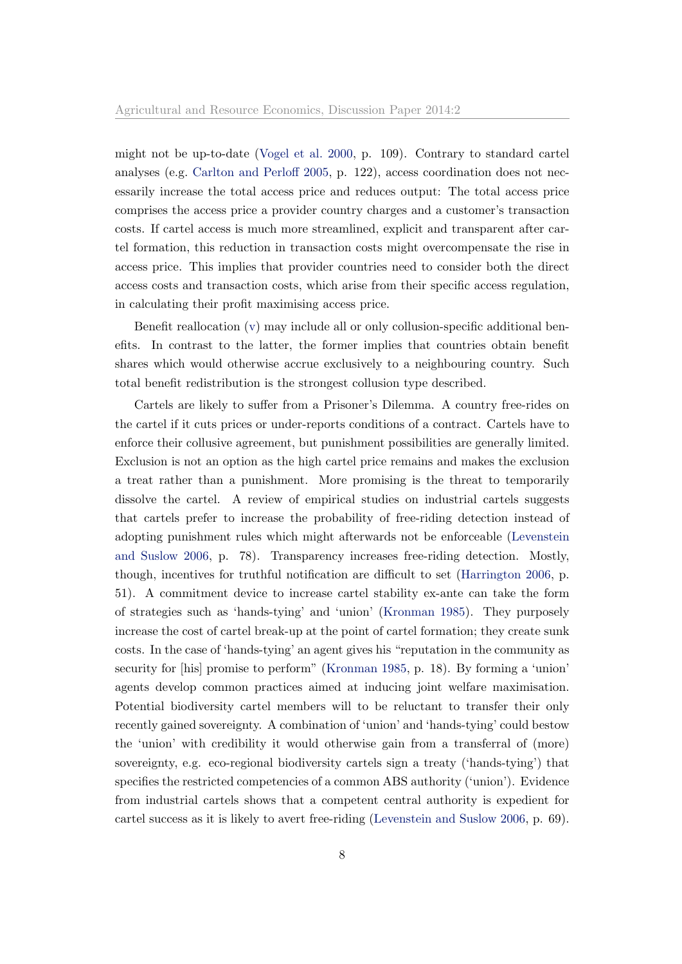might not be up-to-date [\(Vogel et al.](#page-32-4) [2000,](#page-32-4) p. 109). Contrary to standard cartel analyses (e.g. [Carlton and Perloff](#page-29-7) [2005,](#page-29-7) p. 122), access coordination does not necessarily increase the total access price and reduces output: The total access price comprises the access price a provider country charges and a customer's transaction costs. If cartel access is much more streamlined, explicit and transparent after cartel formation, this reduction in transaction costs might overcompensate the rise in access price. This implies that provider countries need to consider both the direct access costs and transaction costs, which arise from their specific access regulation, in calculating their profit maximising access price.

Benefit reallocation [\(v\)](#page-7-4) may include all or only collusion-specific additional benefits. In contrast to the latter, the former implies that countries obtain benefit shares which would otherwise accrue exclusively to a neighbouring country. Such total benefit redistribution is the strongest collusion type described.

Cartels are likely to suffer from a Prisoner's Dilemma. A country free-rides on the cartel if it cuts prices or under-reports conditions of a contract. Cartels have to enforce their collusive agreement, but punishment possibilities are generally limited. Exclusion is not an option as the high cartel price remains and makes the exclusion a treat rather than a punishment. More promising is the threat to temporarily dissolve the cartel. A review of empirical studies on industrial cartels suggests that cartels prefer to increase the probability of free-riding detection instead of adopting punishment rules which might afterwards not be enforceable [\(Levenstein](#page-30-3) [and Suslow](#page-30-3) [2006,](#page-30-3) p. 78). Transparency increases free-riding detection. Mostly, though, incentives for truthful notification are difficult to set [\(Harrington](#page-30-5) [2006,](#page-30-5) p. 51). A commitment device to increase cartel stability ex-ante can take the form of strategies such as 'hands-tying' and 'union' [\(Kronman](#page-30-6) [1985\)](#page-30-6). They purposely increase the cost of cartel break-up at the point of cartel formation; they create sunk costs. In the case of 'hands-tying' an agent gives his "reputation in the community as security for [his] promise to perform" [\(Kronman](#page-30-6) [1985,](#page-30-6) p. 18). By forming a 'union' agents develop common practices aimed at inducing joint welfare maximisation. Potential biodiversity cartel members will to be reluctant to transfer their only recently gained sovereignty. A combination of 'union' and 'hands-tying' could bestow the 'union' with credibility it would otherwise gain from a transferral of (more) sovereignty, e.g. eco-regional biodiversity cartels sign a treaty ('hands-tying') that specifies the restricted competencies of a common ABS authority ('union'). Evidence from industrial cartels shows that a competent central authority is expedient for cartel success as it is likely to avert free-riding [\(Levenstein and Suslow](#page-30-3) [2006,](#page-30-3) p. 69).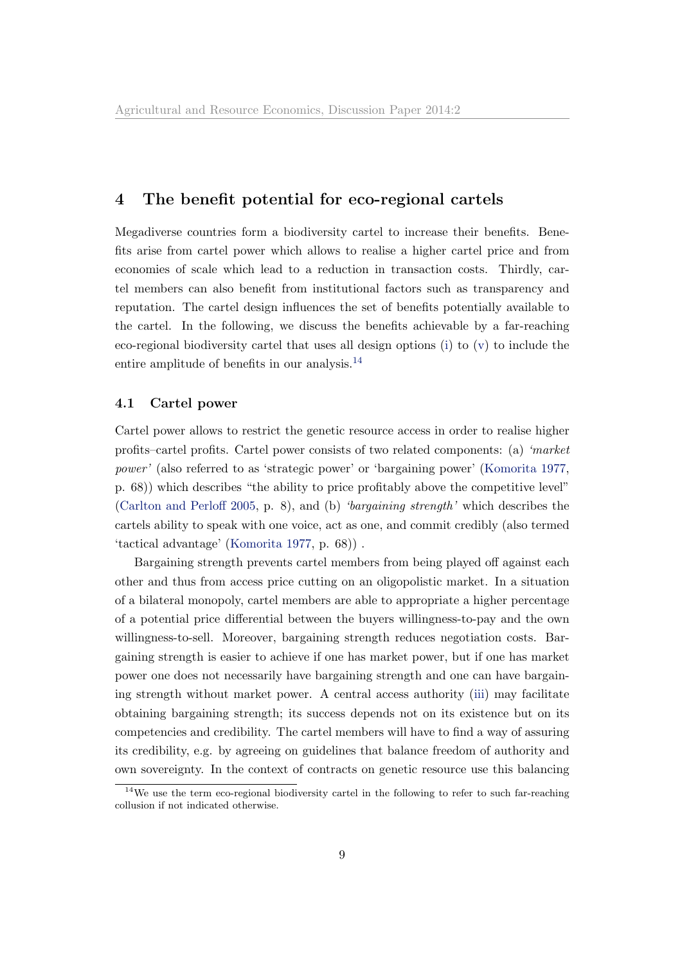# <span id="page-10-0"></span>4 The benefit potential for eco-regional cartels

Megadiverse countries form a biodiversity cartel to increase their benefits. Benefits arise from cartel power which allows to realise a higher cartel price and from economies of scale which lead to a reduction in transaction costs. Thirdly, cartel members can also benefit from institutional factors such as transparency and reputation. The cartel design influences the set of benefits potentially available to the cartel. In the following, we discuss the benefits achievable by a far-reaching eco-regional biodiversity cartel that uses all design options [\(i\)](#page-7-0) to [\(v\)](#page-7-4) to include the entire amplitude of benefits in our analysis.<sup>[14](#page-1-0)</sup>

#### 4.1 Cartel power

Cartel power allows to restrict the genetic resource access in order to realise higher profits–cartel profits. Cartel power consists of two related components: (a) 'market power' (also referred to as 'strategic power' or 'bargaining power' [\(Komorita](#page-30-7) [1977,](#page-30-7) p. 68)) which describes "the ability to price profitably above the competitive level" [\(Carlton and Perloff](#page-29-7) [2005,](#page-29-7) p. 8), and (b) 'bargaining strength' which describes the cartels ability to speak with one voice, act as one, and commit credibly (also termed 'tactical advantage' [\(Komorita](#page-30-7) [1977,](#page-30-7) p. 68)) .

Bargaining strength prevents cartel members from being played off against each other and thus from access price cutting on an oligopolistic market. In a situation of a bilateral monopoly, cartel members are able to appropriate a higher percentage of a potential price differential between the buyers willingness-to-pay and the own willingness-to-sell. Moreover, bargaining strength reduces negotiation costs. Bargaining strength is easier to achieve if one has market power, but if one has market power one does not necessarily have bargaining strength and one can have bargaining strength without market power. A central access authority [\(iii\)](#page-7-2) may facilitate obtaining bargaining strength; its success depends not on its existence but on its competencies and credibility. The cartel members will have to find a way of assuring its credibility, e.g. by agreeing on guidelines that balance freedom of authority and own sovereignty. In the context of contracts on genetic resource use this balancing

<sup>&</sup>lt;sup>14</sup>We use the term eco-regional biodiversity cartel in the following to refer to such far-reaching collusion if not indicated otherwise.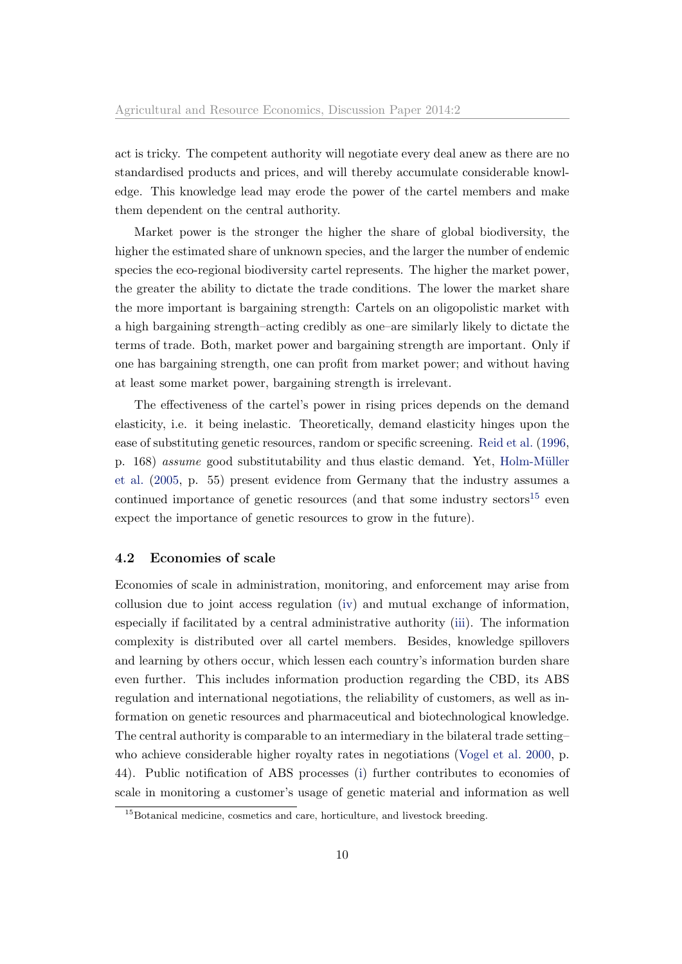act is tricky. The competent authority will negotiate every deal anew as there are no standardised products and prices, and will thereby accumulate considerable knowledge. This knowledge lead may erode the power of the cartel members and make them dependent on the central authority.

Market power is the stronger the higher the share of global biodiversity, the higher the estimated share of unknown species, and the larger the number of endemic species the eco-regional biodiversity cartel represents. The higher the market power, the greater the ability to dictate the trade conditions. The lower the market share the more important is bargaining strength: Cartels on an oligopolistic market with a high bargaining strength–acting credibly as one–are similarly likely to dictate the terms of trade. Both, market power and bargaining strength are important. Only if one has bargaining strength, one can profit from market power; and without having at least some market power, bargaining strength is irrelevant.

The effectiveness of the cartel's power in rising prices depends on the demand elasticity, i.e. it being inelastic. Theoretically, demand elasticity hinges upon the ease of substituting genetic resources, random or specific screening. [Reid et al.](#page-31-6) [\(1996,](#page-31-6) p. 168) assume good substitutability and thus elastic demand. Yet, Holm-Müller [et al.](#page-30-8) [\(2005,](#page-30-8) p. 55) present evidence from Germany that the industry assumes a continued importance of genetic resources (and that some industry sectors $^{15}$  $^{15}$  $^{15}$  even expect the importance of genetic resources to grow in the future).

#### 4.2 Economies of scale

Economies of scale in administration, monitoring, and enforcement may arise from collusion due to joint access regulation [\(iv\)](#page-7-3) and mutual exchange of information, especially if facilitated by a central administrative authority [\(iii\)](#page-7-2). The information complexity is distributed over all cartel members. Besides, knowledge spillovers and learning by others occur, which lessen each country's information burden share even further. This includes information production regarding the CBD, its ABS regulation and international negotiations, the reliability of customers, as well as information on genetic resources and pharmaceutical and biotechnological knowledge. The central authority is comparable to an intermediary in the bilateral trade setting– who achieve considerable higher royalty rates in negotiations [\(Vogel et al.](#page-32-4) [2000,](#page-32-4) p. 44). Public notification of ABS processes [\(i\)](#page-7-0) further contributes to economies of scale in monitoring a customer's usage of genetic material and information as well

<sup>&</sup>lt;sup>15</sup>Botanical medicine, cosmetics and care, horticulture, and livestock breeding.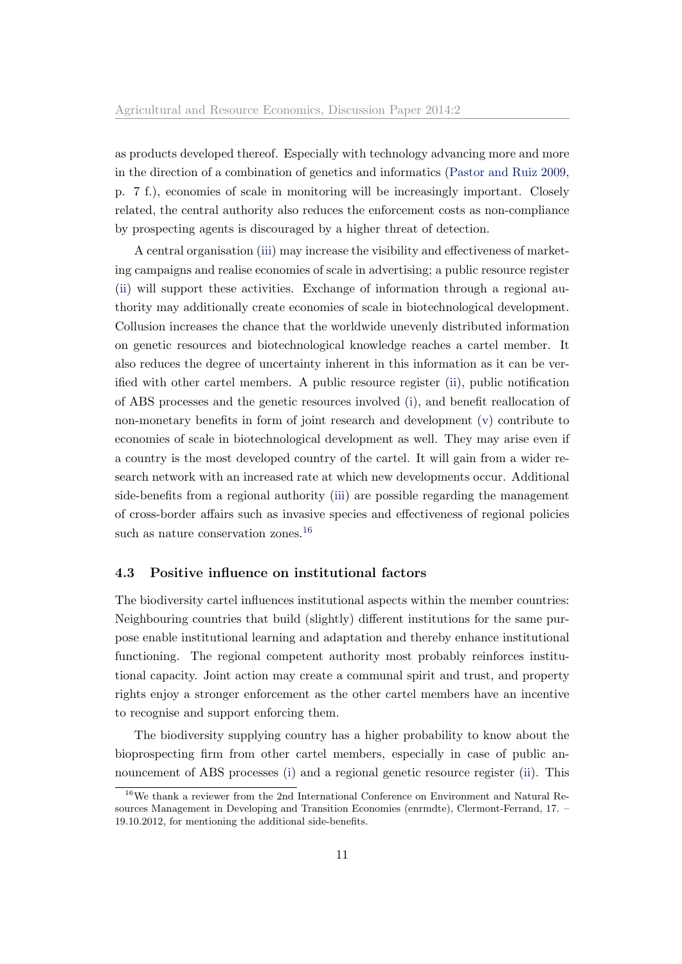as products developed thereof. Especially with technology advancing more and more in the direction of a combination of genetics and informatics [\(Pastor and Ruiz](#page-31-1) [2009,](#page-31-1) p. 7 f.), economies of scale in monitoring will be increasingly important. Closely related, the central authority also reduces the enforcement costs as non-compliance by prospecting agents is discouraged by a higher threat of detection.

A central organisation [\(iii\)](#page-7-2) may increase the visibility and effectiveness of marketing campaigns and realise economies of scale in advertising; a public resource register [\(ii\)](#page-7-1) will support these activities. Exchange of information through a regional authority may additionally create economies of scale in biotechnological development. Collusion increases the chance that the worldwide unevenly distributed information on genetic resources and biotechnological knowledge reaches a cartel member. It also reduces the degree of uncertainty inherent in this information as it can be verified with other cartel members. A public resource register [\(ii\)](#page-7-1), public notification of ABS processes and the genetic resources involved [\(i\)](#page-7-0), and benefit reallocation of non-monetary benefits in form of joint research and development [\(v\)](#page-7-4) contribute to economies of scale in biotechnological development as well. They may arise even if a country is the most developed country of the cartel. It will gain from a wider research network with an increased rate at which new developments occur. Additional side-benefits from a regional authority [\(iii\)](#page-7-2) are possible regarding the management of cross-border affairs such as invasive species and effectiveness of regional policies such as nature conservation zones.<sup>[16](#page-1-0)</sup>

#### 4.3 Positive influence on institutional factors

The biodiversity cartel influences institutional aspects within the member countries: Neighbouring countries that build (slightly) different institutions for the same purpose enable institutional learning and adaptation and thereby enhance institutional functioning. The regional competent authority most probably reinforces institutional capacity. Joint action may create a communal spirit and trust, and property rights enjoy a stronger enforcement as the other cartel members have an incentive to recognise and support enforcing them.

The biodiversity supplying country has a higher probability to know about the bioprospecting firm from other cartel members, especially in case of public announcement of ABS processes [\(i\)](#page-7-0) and a regional genetic resource register [\(ii\)](#page-7-1). This

<sup>16</sup>We thank a reviewer from the 2nd International Conference on Environment and Natural Resources Management in Developing and Transition Economies (enrmdte), Clermont-Ferrand, 17. – 19.10.2012, for mentioning the additional side-benefits.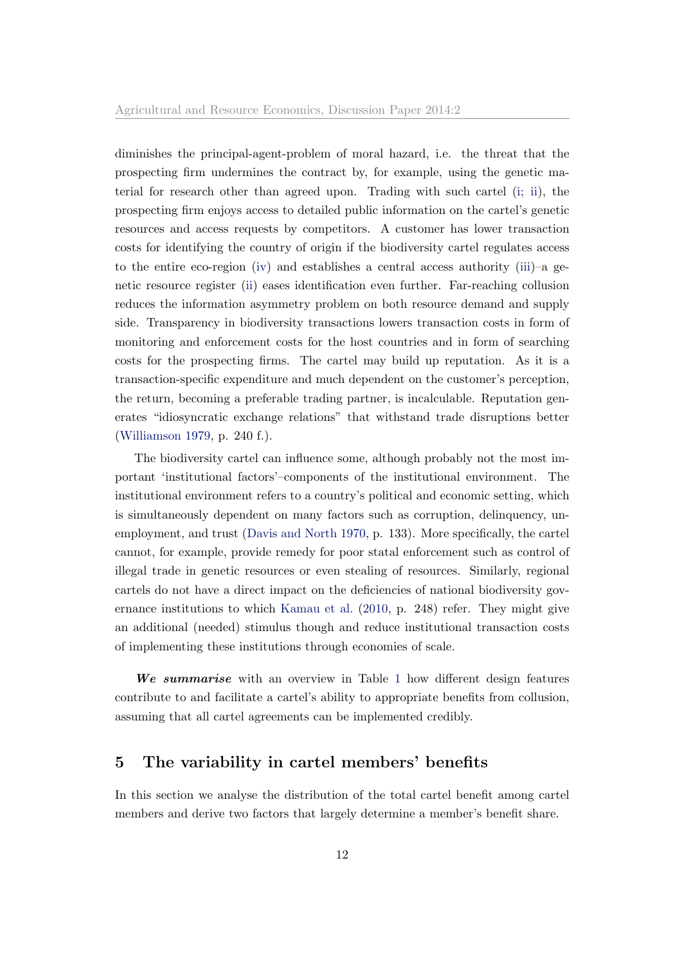diminishes the principal-agent-problem of moral hazard, i.e. the threat that the prospecting firm undermines the contract by, for example, using the genetic material for research other than agreed upon. Trading with such cartel [\(i;](#page-7-0) [ii\)](#page-7-1), the prospecting firm enjoys access to detailed public information on the cartel's genetic resources and access requests by competitors. A customer has lower transaction costs for identifying the country of origin if the biodiversity cartel regulates access to the entire eco-region [\(iv\)](#page-7-3) and establishes a central access authority [\(iii\)](#page-7-2)–a genetic resource register [\(ii\)](#page-7-1) eases identification even further. Far-reaching collusion reduces the information asymmetry problem on both resource demand and supply side. Transparency in biodiversity transactions lowers transaction costs in form of monitoring and enforcement costs for the host countries and in form of searching costs for the prospecting firms. The cartel may build up reputation. As it is a transaction-specific expenditure and much dependent on the customer's perception, the return, becoming a preferable trading partner, is incalculable. Reputation generates "idiosyncratic exchange relations" that withstand trade disruptions better [\(Williamson](#page-32-10) [1979,](#page-32-10) p. 240 f.).

The biodiversity cartel can influence some, although probably not the most important 'institutional factors'–components of the institutional environment. The institutional environment refers to a country's political and economic setting, which is simultaneously dependent on many factors such as corruption, delinquency, unemployment, and trust [\(Davis and North](#page-29-8) [1970,](#page-29-8) p. 133). More specifically, the cartel cannot, for example, provide remedy for poor statal enforcement such as control of illegal trade in genetic resources or even stealing of resources. Similarly, regional cartels do not have a direct impact on the deficiencies of national biodiversity governance institutions to which [Kamau et al.](#page-30-1) [\(2010,](#page-30-1) p. 248) refer. They might give an additional (needed) stimulus though and reduce institutional transaction costs of implementing these institutions through economies of scale.

We summarise with an overview in Table [1](#page-14-0) how different design features contribute to and facilitate a cartel's ability to appropriate benefits from collusion, assuming that all cartel agreements can be implemented credibly.

## <span id="page-13-0"></span>5 The variability in cartel members' benefits

In this section we analyse the distribution of the total cartel benefit among cartel members and derive two factors that largely determine a member's benefit share.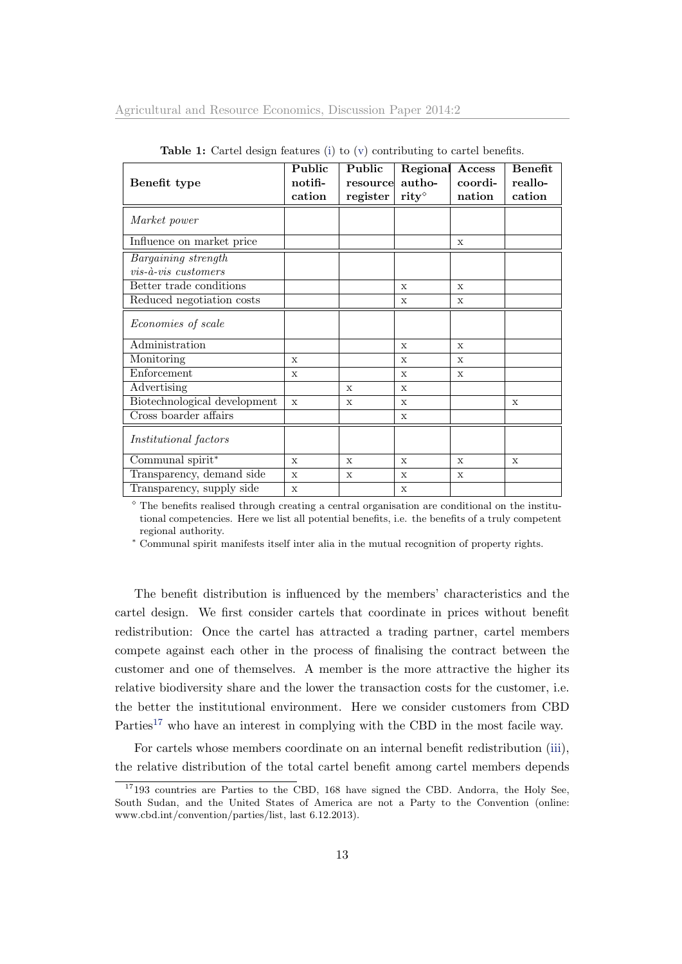|                                       | Public       | Public      | Regional                   | Access       | <b>Benefit</b> |
|---------------------------------------|--------------|-------------|----------------------------|--------------|----------------|
| Benefit type                          | notifi-      | resource    | autho-                     | coordi-      | reallo-        |
|                                       | cation       | register    | $\mathbf{rity}^{\diamond}$ | nation       | cation         |
| Market power                          |              |             |                            |              |                |
| Influence on market price             |              |             |                            | $\mathbf{x}$ |                |
| Bargaining strength                   |              |             |                            |              |                |
| $vis$ - $\grave{a}$ - $vis$ customers |              |             |                            |              |                |
| Better trade conditions               |              |             | $\mathbf{x}$               | $\mathbf{x}$ |                |
| Reduced negotiation costs             |              |             | X                          | $\mathbf x$  |                |
| Economies of scale                    |              |             |                            |              |                |
| Administration                        |              |             | $\mathbf{x}$               | $\mathbf{x}$ |                |
| Monitoring                            | $\mathbf x$  |             | $\mathbf x$                | $\mathbf x$  |                |
| Enforcement                           | X            |             | X                          | X            |                |
| Advertising                           |              | $\mathbf x$ | X                          |              |                |
| Biotechnological development          | $\mathbf x$  | X           | $\mathbf x$                |              | X              |
| Cross boarder affairs                 |              |             | X                          |              |                |
| <i>Institutional factors</i>          |              |             |                            |              |                |
| Communal spirit*                      | $\mathbf{x}$ | $\mathbf x$ | $\mathbf x$                | $\mathbf x$  | $\mathbf x$    |
| Transparency, demand side             | $\mathbf{x}$ | X           | X                          | X            |                |
| Transparency, supply side             | $\mathbf x$  |             | X                          |              |                |

<span id="page-14-0"></span>Table 1: Cartel design features [\(i\)](#page-7-0) to [\(v\)](#page-7-4) contributing to cartel benefits.

 $\degree$  The benefits realised through creating a central organisation are conditional on the institutional competencies. Here we list all potential benefits, i.e. the benefits of a truly competent regional authority.

<sup>∗</sup> Communal spirit manifests itself inter alia in the mutual recognition of property rights.

The benefit distribution is influenced by the members' characteristics and the cartel design. We first consider cartels that coordinate in prices without benefit redistribution: Once the cartel has attracted a trading partner, cartel members compete against each other in the process of finalising the contract between the customer and one of themselves. A member is the more attractive the higher its relative biodiversity share and the lower the transaction costs for the customer, i.e. the better the institutional environment. Here we consider customers from CBD Parties<sup>[17](#page-1-0)</sup> who have an interest in complying with the CBD in the most facile way.

For cartels whose members coordinate on an internal benefit redistribution [\(iii\)](#page-7-2), the relative distribution of the total cartel benefit among cartel members depends

 $17193$  countries are Parties to the CBD, 168 have signed the CBD. Andorra, the Holy See, South Sudan, and the United States of America are not a Party to the Convention (online: www.cbd.int/convention/parties/list, last 6.12.2013).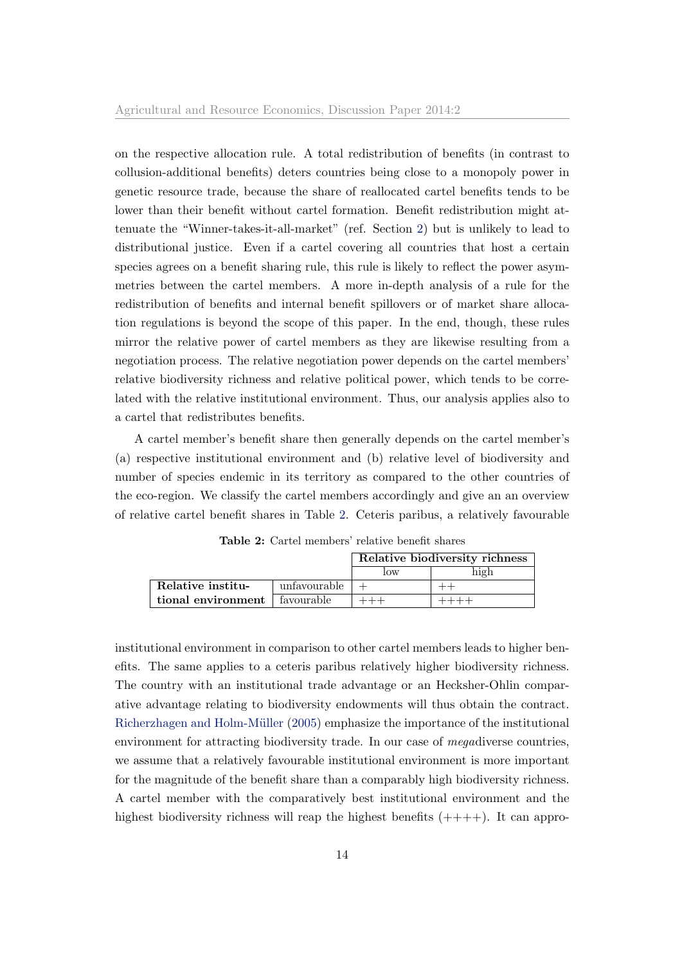on the respective allocation rule. A total redistribution of benefits (in contrast to collusion-additional benefits) deters countries being close to a monopoly power in genetic resource trade, because the share of reallocated cartel benefits tends to be lower than their benefit without cartel formation. Benefit redistribution might attenuate the "Winner-takes-it-all-market" (ref. Section [2\)](#page-4-0) but is unlikely to lead to distributional justice. Even if a cartel covering all countries that host a certain species agrees on a benefit sharing rule, this rule is likely to reflect the power asymmetries between the cartel members. A more in-depth analysis of a rule for the redistribution of benefits and internal benefit spillovers or of market share allocation regulations is beyond the scope of this paper. In the end, though, these rules mirror the relative power of cartel members as they are likewise resulting from a negotiation process. The relative negotiation power depends on the cartel members' relative biodiversity richness and relative political power, which tends to be correlated with the relative institutional environment. Thus, our analysis applies also to a cartel that redistributes benefits.

A cartel member's benefit share then generally depends on the cartel member's (a) respective institutional environment and (b) relative level of biodiversity and number of species endemic in its territory as compared to the other countries of the eco-region. We classify the cartel members accordingly and give an an overview of relative cartel benefit shares in Table [2.](#page-15-0) Ceteris paribus, a relatively favourable

|                                 |              |     | Relative biodiversity richness |
|---------------------------------|--------------|-----|--------------------------------|
|                                 |              | low | high                           |
| Relative institu-               | unfavourable |     |                                |
| tional environment   favourable |              |     |                                |

<span id="page-15-0"></span>Table 2: Cartel members' relative benefit shares

institutional environment in comparison to other cartel members leads to higher benefits. The same applies to a ceteris paribus relatively higher biodiversity richness. The country with an institutional trade advantage or an Hecksher-Ohlin comparative advantage relating to biodiversity endowments will thus obtain the contract. Richerzhagen and Holm-Müller [\(2005\)](#page-31-8) emphasize the importance of the institutional environment for attracting biodiversity trade. In our case of megadiverse countries, we assume that a relatively favourable institutional environment is more important for the magnitude of the benefit share than a comparably high biodiversity richness. A cartel member with the comparatively best institutional environment and the highest biodiversity richness will reap the highest benefits  $(+++)$ . It can appro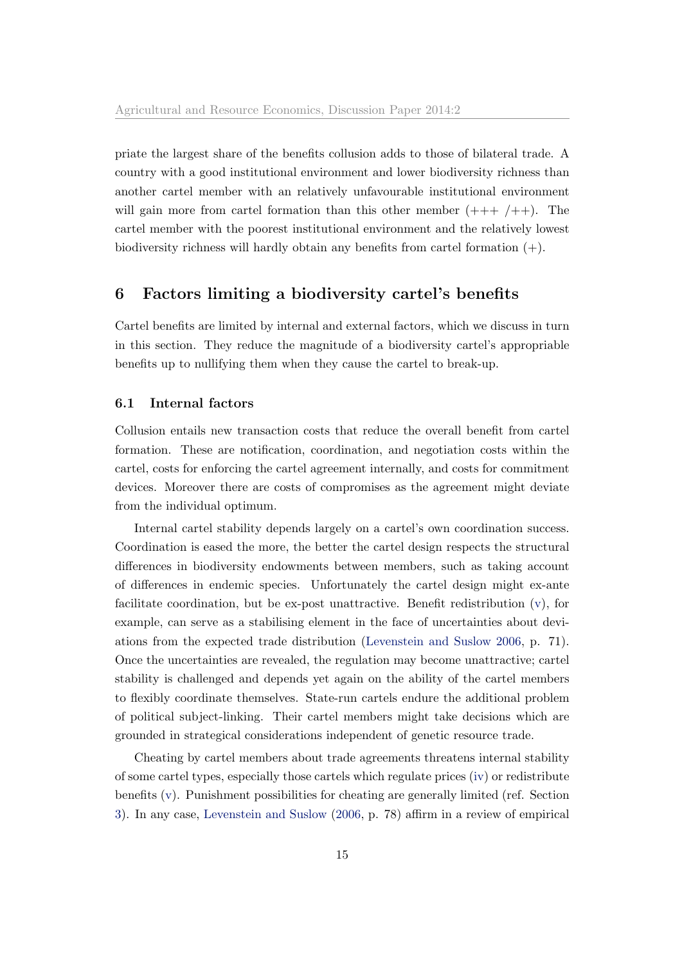priate the largest share of the benefits collusion adds to those of bilateral trade. A country with a good institutional environment and lower biodiversity richness than another cartel member with an relatively unfavourable institutional environment will gain more from cartel formation than this other member  $(++)+$  +  $/$  + +  $)$ . The cartel member with the poorest institutional environment and the relatively lowest biodiversity richness will hardly obtain any benefits from cartel formation  $(+)$ .

# <span id="page-16-0"></span>6 Factors limiting a biodiversity cartel's benefits

Cartel benefits are limited by internal and external factors, which we discuss in turn in this section. They reduce the magnitude of a biodiversity cartel's appropriable benefits up to nullifying them when they cause the cartel to break-up.

#### 6.1 Internal factors

Collusion entails new transaction costs that reduce the overall benefit from cartel formation. These are notification, coordination, and negotiation costs within the cartel, costs for enforcing the cartel agreement internally, and costs for commitment devices. Moreover there are costs of compromises as the agreement might deviate from the individual optimum.

Internal cartel stability depends largely on a cartel's own coordination success. Coordination is eased the more, the better the cartel design respects the structural differences in biodiversity endowments between members, such as taking account of differences in endemic species. Unfortunately the cartel design might ex-ante facilitate coordination, but be ex-post unattractive. Benefit redistribution [\(v\)](#page-7-4), for example, can serve as a stabilising element in the face of uncertainties about deviations from the expected trade distribution [\(Levenstein and Suslow](#page-30-3) [2006,](#page-30-3) p. 71). Once the uncertainties are revealed, the regulation may become unattractive; cartel stability is challenged and depends yet again on the ability of the cartel members to flexibly coordinate themselves. State-run cartels endure the additional problem of political subject-linking. Their cartel members might take decisions which are grounded in strategical considerations independent of genetic resource trade.

Cheating by cartel members about trade agreements threatens internal stability of some cartel types, especially those cartels which regulate prices [\(iv\)](#page-7-3) or redistribute benefits [\(v\)](#page-7-4). Punishment possibilities for cheating are generally limited (ref. Section [3\)](#page-6-0). In any case, [Levenstein and Suslow](#page-30-3) [\(2006,](#page-30-3) p. 78) affirm in a review of empirical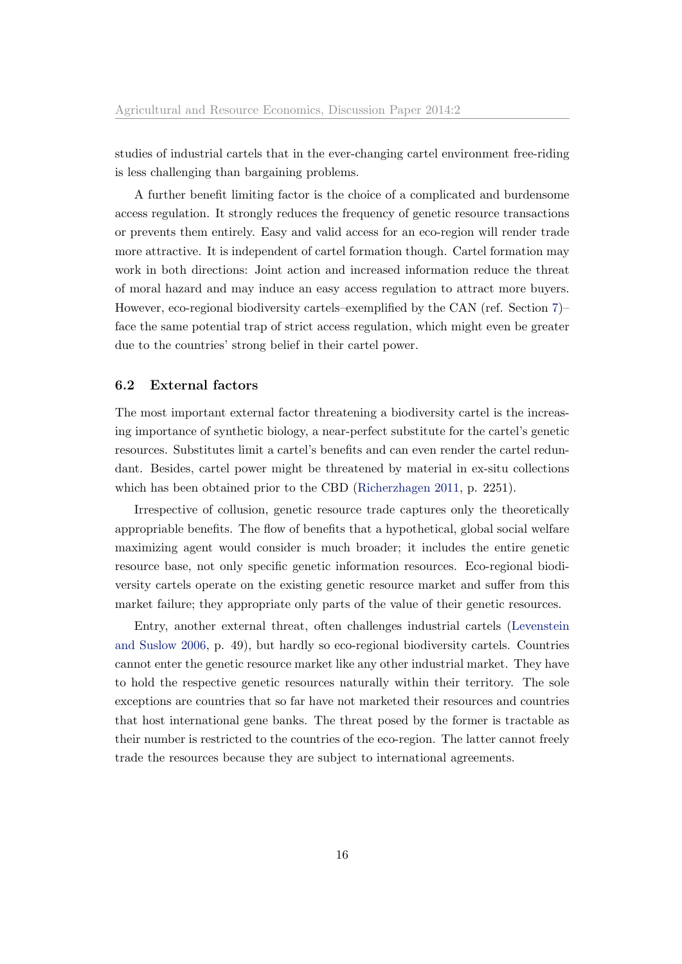studies of industrial cartels that in the ever-changing cartel environment free-riding is less challenging than bargaining problems.

A further benefit limiting factor is the choice of a complicated and burdensome access regulation. It strongly reduces the frequency of genetic resource transactions or prevents them entirely. Easy and valid access for an eco-region will render trade more attractive. It is independent of cartel formation though. Cartel formation may work in both directions: Joint action and increased information reduce the threat of moral hazard and may induce an easy access regulation to attract more buyers. However, eco-regional biodiversity cartels–exemplified by the CAN (ref. Section [7\)](#page-18-0)– face the same potential trap of strict access regulation, which might even be greater due to the countries' strong belief in their cartel power.

#### 6.2 External factors

The most important external factor threatening a biodiversity cartel is the increasing importance of synthetic biology, a near-perfect substitute for the cartel's genetic resources. Substitutes limit a cartel's benefits and can even render the cartel redundant. Besides, cartel power might be threatened by material in ex-situ collections which has been obtained prior to the CBD [\(Richerzhagen](#page-31-2) [2011,](#page-31-2) p. 2251).

Irrespective of collusion, genetic resource trade captures only the theoretically appropriable benefits. The flow of benefits that a hypothetical, global social welfare maximizing agent would consider is much broader; it includes the entire genetic resource base, not only specific genetic information resources. Eco-regional biodiversity cartels operate on the existing genetic resource market and suffer from this market failure; they appropriate only parts of the value of their genetic resources.

Entry, another external threat, often challenges industrial cartels [\(Levenstein](#page-30-3) [and Suslow](#page-30-3) [2006,](#page-30-3) p. 49), but hardly so eco-regional biodiversity cartels. Countries cannot enter the genetic resource market like any other industrial market. They have to hold the respective genetic resources naturally within their territory. The sole exceptions are countries that so far have not marketed their resources and countries that host international gene banks. The threat posed by the former is tractable as their number is restricted to the countries of the eco-region. The latter cannot freely trade the resources because they are subject to international agreements.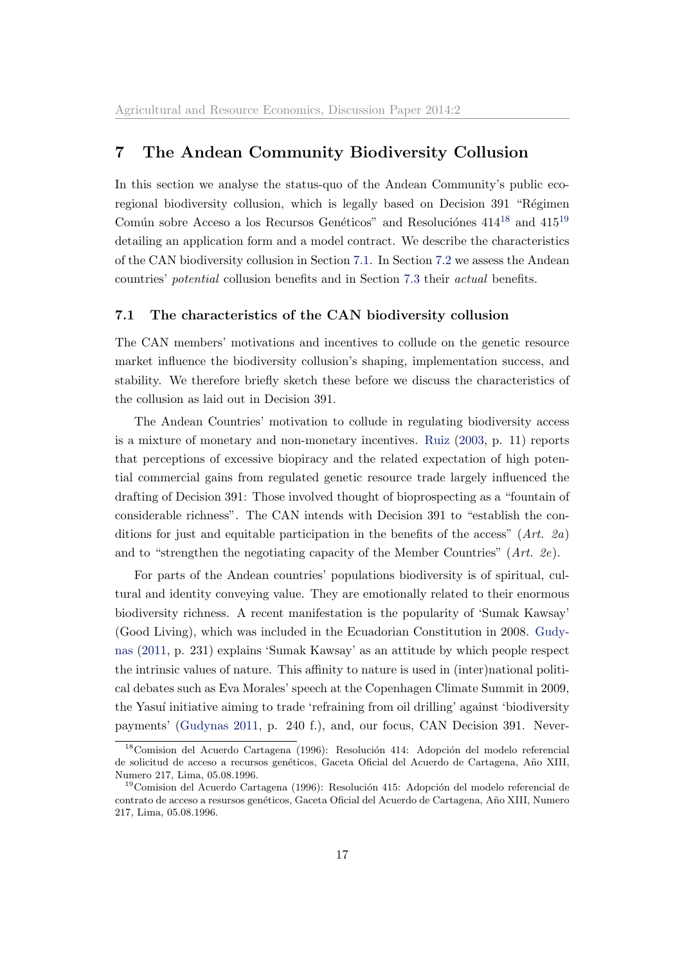# <span id="page-18-0"></span>7 The Andean Community Biodiversity Collusion

In this section we analyse the status-quo of the Andean Community's public ecoregional biodiversity collusion, which is legally based on Decision 391 "Régimen Común sobre Acceso a los Recursos Genéticos" and Resoluciónes  $414^{18}$  $414^{18}$  $414^{18}$  and  $415^{19}$  $415^{19}$  $415^{19}$ detailing an application form and a model contract. We describe the characteristics of the CAN biodiversity collusion in Section [7.1.](#page-18-1) In Section [7.2](#page-20-0) we assess the Andean countries' potential collusion benefits and in Section [7.3](#page-25-0) their actual benefits.

#### <span id="page-18-1"></span>7.1 The characteristics of the CAN biodiversity collusion

The CAN members' motivations and incentives to collude on the genetic resource market influence the biodiversity collusion's shaping, implementation success, and stability. We therefore briefly sketch these before we discuss the characteristics of the collusion as laid out in Decision 391.

The Andean Countries' motivation to collude in regulating biodiversity access is a mixture of monetary and non-monetary incentives. [Ruiz](#page-31-5) [\(2003,](#page-31-5) p. 11) reports that perceptions of excessive biopiracy and the related expectation of high potential commercial gains from regulated genetic resource trade largely influenced the drafting of Decision 391: Those involved thought of bioprospecting as a "fountain of considerable richness". The CAN intends with Decision 391 to "establish the conditions for just and equitable participation in the benefits of the access"  $(Art. 2a)$ and to "strengthen the negotiating capacity of the Member Countries" (Art. 2e).

For parts of the Andean countries' populations biodiversity is of spiritual, cultural and identity conveying value. They are emotionally related to their enormous biodiversity richness. A recent manifestation is the popularity of 'Sumak Kawsay' (Good Living), which was included in the Ecuadorian Constitution in 2008. [Gudy](#page-30-9)[nas](#page-30-9) [\(2011,](#page-30-9) p. 231) explains 'Sumak Kawsay' as an attitude by which people respect the intrinsic values of nature. This affinity to nature is used in (inter)national political debates such as Eva Morales' speech at the Copenhagen Climate Summit in 2009, the Yasuí initiative aiming to trade 'refraining from oil drilling' against 'biodiversity payments' [\(Gudynas](#page-30-9) [2011,](#page-30-9) p. 240 f.), and, our focus, CAN Decision 391. Never-

 $18$ Comision del Acuerdo Cartagena (1996): Resolución 414: Adopción del modelo referencial de solicitud de acceso a recursos genéticos, Gaceta Oficial del Acuerdo de Cartagena, Año XIII, Numero 217, Lima, 05.08.1996.

<sup>&</sup>lt;sup>19</sup>Comision del Acuerdo Cartagena (1996): Resolución 415: Adopción del modelo referencial de contrato de acceso a resursos genéticos, Gaceta Oficial del Acuerdo de Cartagena, Año XIII, Numero 217, Lima, 05.08.1996.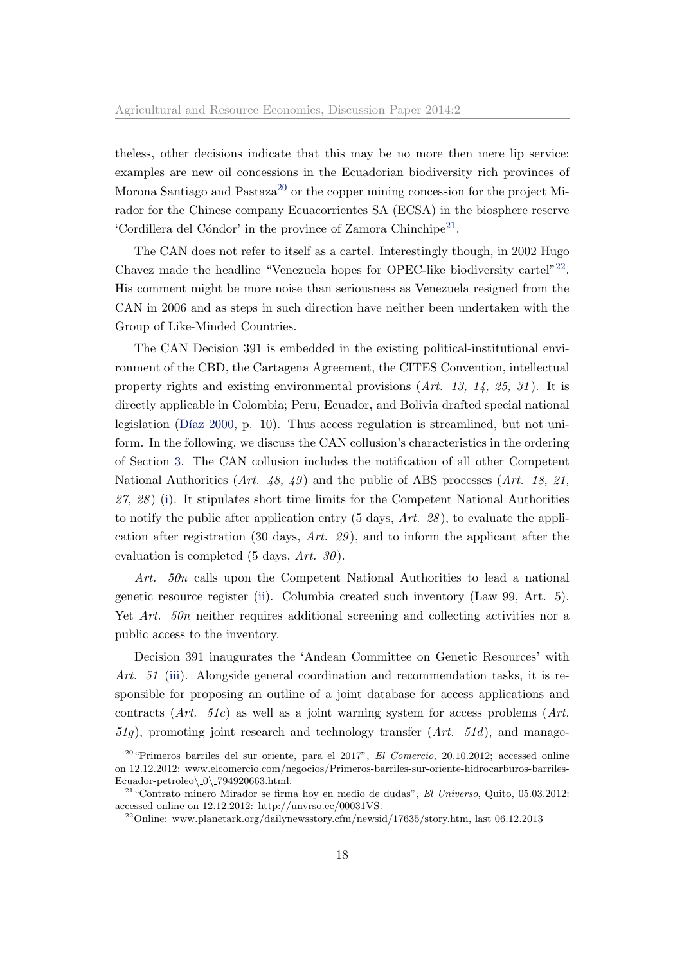theless, other decisions indicate that this may be no more then mere lip service: examples are new oil concessions in the Ecuadorian biodiversity rich provinces of Morona Santiago and Pastaza<sup>[20](#page-1-0)</sup> or the copper mining concession for the project Mirador for the Chinese company Ecuacorrientes SA (ECSA) in the biosphere reserve 'Cordillera del Cóndor' in the province of Zamora Chinchipe<sup>[21](#page-1-0)</sup>.

The CAN does not refer to itself as a cartel. Interestingly though, in 2002 Hugo Chavez made the headline "Venezuela hopes for OPEC-like biodiversity cartel" $^{22}$  $^{22}$  $^{22}$ . His comment might be more noise than seriousness as Venezuela resigned from the CAN in 2006 and as steps in such direction have neither been undertaken with the Group of Like-Minded Countries.

The CAN Decision 391 is embedded in the existing political-institutional environment of the CBD, the Cartagena Agreement, the CITES Convention, intellectual property rights and existing environmental provisions  $(Art. 13, 14, 25, 31)$ . It is directly applicable in Colombia; Peru, Ecuador, and Bolivia drafted special national legislation (Díaz [2000,](#page-29-9) p. 10). Thus access regulation is streamlined, but not uniform. In the following, we discuss the CAN collusion's characteristics in the ordering of Section [3.](#page-6-0) The CAN collusion includes the notification of all other Competent National Authorities (Art. 48, 49) and the public of ABS processes (Art. 18, 21,  $27, 28$  [\(i\)](#page-7-0). It stipulates short time limits for the Competent National Authorities to notify the public after application entry  $(5 \text{ days}, Art. 28)$ , to evaluate the application after registration (30 days,  $Art. 29$ ), and to inform the applicant after the evaluation is completed  $(5 \text{ days}, Art. 30)$ .

Art. 50n calls upon the Competent National Authorities to lead a national genetic resource register [\(ii\)](#page-7-1). Columbia created such inventory (Law 99, Art. 5). Yet Art. 50n neither requires additional screening and collecting activities nor a public access to the inventory.

Decision 391 inaugurates the 'Andean Committee on Genetic Resources' with Art. 51 [\(iii\)](#page-7-2). Alongside general coordination and recommendation tasks, it is responsible for proposing an outline of a joint database for access applications and contracts  $(Art. 51c)$  as well as a joint warning system for access problems  $(Art. 51c)$  $51q$ ), promoting joint research and technology transfer  $(Art. 51d)$ , and manage-

 $20$  "Primeros barriles del sur oriente, para el  $2017$ ", El Comercio,  $20.10.2012$ ; accessed online on 12.12.2012: www.elcomercio.com/negocios/Primeros-barriles-sur-oriente-hidrocarburos-barriles-Ecuador-petroleo $\Q0$  794920663.html.

 $^{21}$ "Contrato minero Mirador se firma hoy en medio de dudas", El Universo, Quito, 05.03.2012: accessed online on 12.12.2012: http://unvrso.ec/00031VS.

<sup>&</sup>lt;sup>22</sup>Online: www.planetark.org/dailynewsstory.cfm/newsid/17635/story.htm, last 06.12.2013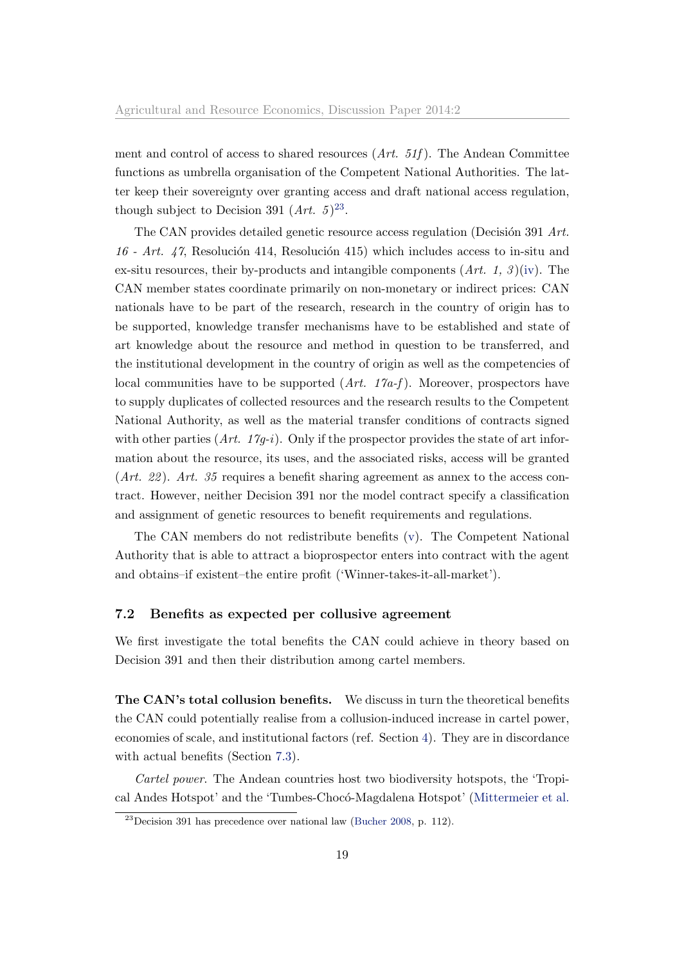ment and control of access to shared resources  $(Art. 51f)$ . The Andean Committee functions as umbrella organisation of the Competent National Authorities. The latter keep their sovereignty over granting access and draft national access regulation, though subject to Decision 391  $(Art. 5)^{23}$  $(Art. 5)^{23}$  $(Art. 5)^{23}$ .

The CAN provides detailed genetic resource access regulation (Decisión 391 Art. 16 - Art. 47, Resolución 414, Resolución 415) which includes access to in-situ and ex-situ resources, their by-products and intangible components  $(Art. 1, 3)$  [\(iv\)](#page-7-3). The CAN member states coordinate primarily on non-monetary or indirect prices: CAN nationals have to be part of the research, research in the country of origin has to be supported, knowledge transfer mechanisms have to be established and state of art knowledge about the resource and method in question to be transferred, and the institutional development in the country of origin as well as the competencies of local communities have to be supported  $(Art. 17a-f)$ . Moreover, prospectors have to supply duplicates of collected resources and the research results to the Competent National Authority, as well as the material transfer conditions of contracts signed with other parties  $(Art. 17q-i)$ . Only if the prospector provides the state of art information about the resource, its uses, and the associated risks, access will be granted  $(Art. 22)$ . Art. 35 requires a benefit sharing agreement as annex to the access contract. However, neither Decision 391 nor the model contract specify a classification and assignment of genetic resources to benefit requirements and regulations.

The CAN members do not redistribute benefits [\(v\)](#page-7-4). The Competent National Authority that is able to attract a bioprospector enters into contract with the agent and obtains–if existent–the entire profit ('Winner-takes-it-all-market').

#### <span id="page-20-0"></span>7.2 Benefits as expected per collusive agreement

We first investigate the total benefits the CAN could achieve in theory based on Decision 391 and then their distribution among cartel members.

The CAN's total collusion benefits. We discuss in turn the theoretical benefits the CAN could potentially realise from a collusion-induced increase in cartel power, economies of scale, and institutional factors (ref. Section [4\)](#page-10-0). They are in discordance with actual benefits (Section [7.3\)](#page-25-0).

Cartel power. The Andean countries host two biodiversity hotspots, the 'Tropical Andes Hotspot' and the 'Tumbes-Choc´o-Magdalena Hotspot' [\(Mittermeier et al.](#page-30-10)

 $^{23}$ Decision 391 has precedence over national law [\(Bucher](#page-29-6) [2008,](#page-29-6) p. 112).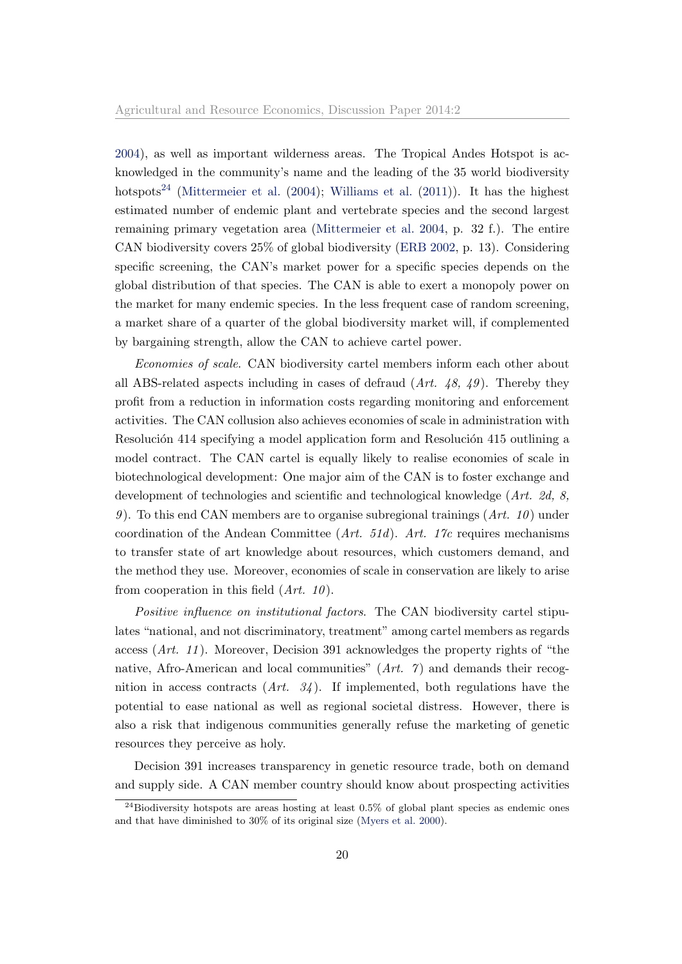[2004\)](#page-30-10), as well as important wilderness areas. The Tropical Andes Hotspot is acknowledged in the community's name and the leading of the 35 world biodiversity hotspots<sup>[24](#page-1-0)</sup> [\(Mittermeier et al.](#page-30-10)  $(2004)$ ; [Williams et al.](#page-32-11)  $(2011)$ ). It has the highest estimated number of endemic plant and vertebrate species and the second largest remaining primary vegetation area [\(Mittermeier et al.](#page-30-10) [2004,](#page-30-10) p. 32 f.). The entire CAN biodiversity covers 25% of global biodiversity [\(ERB](#page-29-10) [2002,](#page-29-10) p. 13). Considering specific screening, the CAN's market power for a specific species depends on the global distribution of that species. The CAN is able to exert a monopoly power on the market for many endemic species. In the less frequent case of random screening, a market share of a quarter of the global biodiversity market will, if complemented by bargaining strength, allow the CAN to achieve cartel power.

Economies of scale. CAN biodiversity cartel members inform each other about all ABS-related aspects including in cases of defraud  $(Art. 48, 49)$ . Thereby they profit from a reduction in information costs regarding monitoring and enforcement activities. The CAN collusion also achieves economies of scale in administration with Resolución 414 specifying a model application form and Resolución 415 outlining a model contract. The CAN cartel is equally likely to realise economies of scale in biotechnological development: One major aim of the CAN is to foster exchange and development of technologies and scientific and technological knowledge (Art. 2d, 8, 9). To this end CAN members are to organise subregional trainings  $(Art. 10)$  under coordination of the Andean Committee  $(Art. 51d)$ . Art. 17c requires mechanisms to transfer state of art knowledge about resources, which customers demand, and the method they use. Moreover, economies of scale in conservation are likely to arise from cooperation in this field  $(Art. 10)$ .

Positive influence on institutional factors. The CAN biodiversity cartel stipulates "national, and not discriminatory, treatment" among cartel members as regards access (Art. 11 ). Moreover, Decision 391 acknowledges the property rights of "the native, Afro-American and local communities"  $(Art. 7)$  and demands their recognition in access contracts  $(Art. 34)$ . If implemented, both regulations have the potential to ease national as well as regional societal distress. However, there is also a risk that indigenous communities generally refuse the marketing of genetic resources they perceive as holy.

Decision 391 increases transparency in genetic resource trade, both on demand and supply side. A CAN member country should know about prospecting activities

 $^{24}$ Biodiversity hotspots are areas hosting at least 0.5% of global plant species as endemic ones and that have diminished to 30% of its original size [\(Myers et al.](#page-31-9) [2000\)](#page-31-9).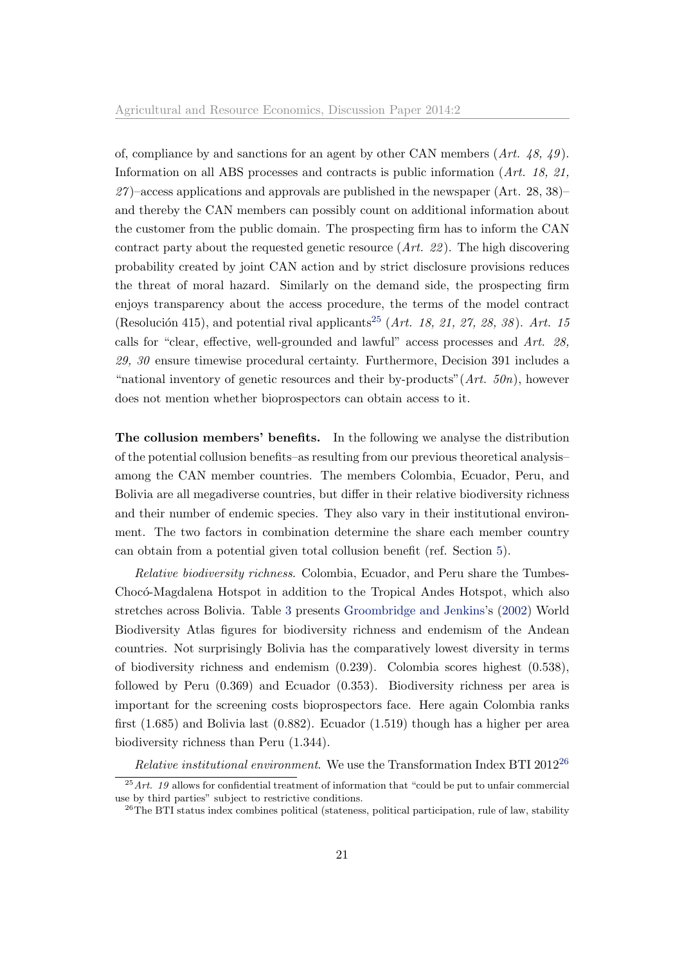of, compliance by and sanctions for an agent by other CAN members  $(Art. 48, 49)$ . Information on all ABS processes and contracts is public information (Art. 18, 21,  $27$  –access applications and approvals are published in the newspaper (Art. 28, 38)– and thereby the CAN members can possibly count on additional information about the customer from the public domain. The prospecting firm has to inform the CAN contract party about the requested genetic resource  $(Art. 22)$ . The high discovering probability created by joint CAN action and by strict disclosure provisions reduces the threat of moral hazard. Similarly on the demand side, the prospecting firm enjoys transparency about the access procedure, the terms of the model contract (Resolución 415), and potential rival applicants<sup>[25](#page-1-0)</sup> (Art. 18, 21, 27, 28, 38). Art. 15 calls for "clear, effective, well-grounded and lawful" access processes and Art. 28, 29, 30 ensure timewise procedural certainty. Furthermore, Decision 391 includes a "national inventory of genetic resources and their by-products"  $(Art. 50n)$ , however does not mention whether bioprospectors can obtain access to it.

The collusion members' benefits. In the following we analyse the distribution of the potential collusion benefits–as resulting from our previous theoretical analysis– among the CAN member countries. The members Colombia, Ecuador, Peru, and Bolivia are all megadiverse countries, but differ in their relative biodiversity richness and their number of endemic species. They also vary in their institutional environment. The two factors in combination determine the share each member country can obtain from a potential given total collusion benefit (ref. Section [5\)](#page-13-0).

Relative biodiversity richness. Colombia, Ecuador, and Peru share the Tumbes-Chocó-Magdalena Hotspot in addition to the Tropical Andes Hotspot, which also stretches across Bolivia. Table [3](#page-23-0) presents [Groombridge and Jenkins'](#page-30-11)s [\(2002\)](#page-30-11) World Biodiversity Atlas figures for biodiversity richness and endemism of the Andean countries. Not surprisingly Bolivia has the comparatively lowest diversity in terms of biodiversity richness and endemism (0.239). Colombia scores highest (0.538), followed by Peru (0.369) and Ecuador (0.353). Biodiversity richness per area is important for the screening costs bioprospectors face. Here again Colombia ranks first (1.685) and Bolivia last (0.882). Ecuador (1.519) though has a higher per area biodiversity richness than Peru (1.344).

Relative institutional environment. We use the Transformation Index BTI 2012<sup>[26](#page-1-0)</sup>

 $25$  Art. 19 allows for confidential treatment of information that "could be put to unfair commercial use by third parties" subject to restrictive conditions.

<sup>&</sup>lt;sup>26</sup>The BTI status index combines political (stateness, political participation, rule of law, stability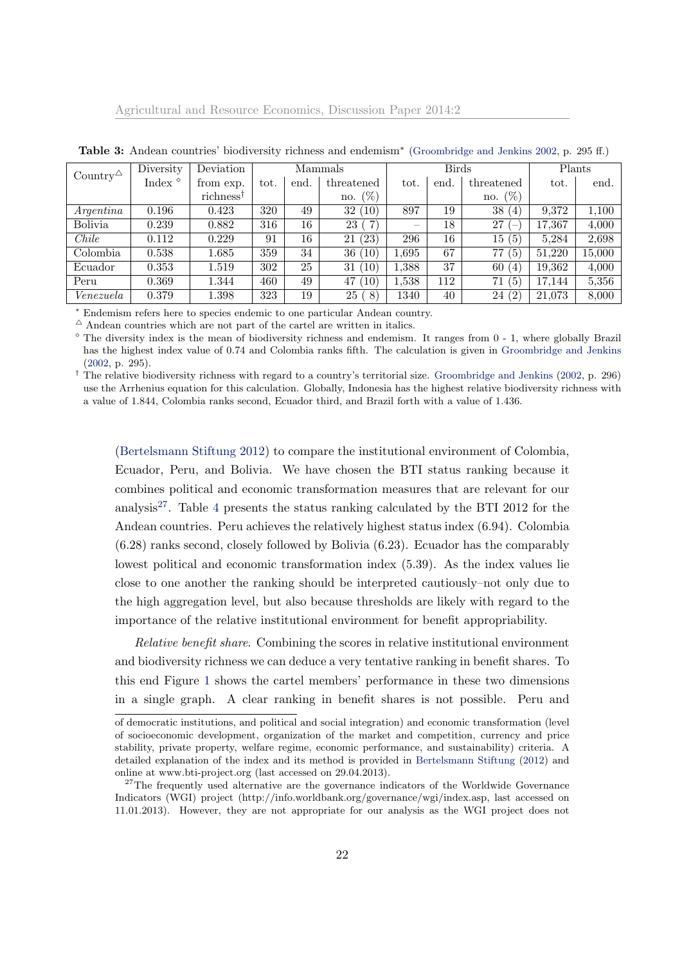| Country <sup><math>\triangle</math></sup> | Diversity     | Deviation             | Mammals |      |                   | <b>Birds</b> |      |                                | Plants |        |
|-------------------------------------------|---------------|-----------------------|---------|------|-------------------|--------------|------|--------------------------------|--------|--------|
|                                           | Index $\circ$ | from exp.             | tot.    | end. | threatened        | tot.         | end. | threatened                     | tot.   | end.   |
|                                           |               | richness <sup>†</sup> |         |      | $(\%)$<br>no.     |              |      | (% )<br>no.                    |        |        |
| Argentina                                 | 0.196         | 0.423                 | 320     | 49   | (10)<br>32        | 897          | 19   | 38<br>(4)                      | 9.372  | 1,100  |
| <b>Bolivia</b>                            | 0.239         | 0.882                 | 316     | 16   | 7<br>23           |              | 18   | 27<br>$\overline{\phantom{a}}$ | 17,367 | 4,000  |
| Chile                                     | 0.112         | 0.229                 | 91      | 16   | (23)<br>21        | 296          | 16   | (5)<br>15                      | 5,284  | 2,698  |
| Colombia                                  | 0.538         | 1.685                 | 359     | 34   | (10)<br>36        | 1.695        | 67   | (5)<br>77                      | 51.220 | 15,000 |
| Ecuador                                   | 0.353         | 1.519                 | 302     | 25   | 10)<br>31         | 1,388        | 37   | 60<br>(4)                      | 19,362 | 4,000  |
| Peru                                      | 0.369         | 1.344                 | 460     | 49   | 10)<br>47         | 1,538        | 112  | (5)<br>71                      | 17.144 | 5,356  |
| Venezuela                                 | 0.379         | 1.398                 | 323     | 19   | 25<br>$8^{\circ}$ | 1340         | 40   | (2)<br>24                      | 21,073 | 8,000  |

<span id="page-23-0"></span>Table 3: Andean countries' biodiversity richness and endemism<sup>\*</sup> [\(Groombridge and Jenkins](#page-30-11) [2002,](#page-30-11) p. 295 ff.)

<sup>∗</sup> Endemism refers here to species endemic to one particular Andean country.

 $^\Delta$  Andean countries which are not part of the cartel are written in italics.

 $\degree$  The diversity index is the mean of biodiversity richness and endemism. It ranges from 0 - 1, where globally Brazil has the highest index value of 0.74 and Colombia ranks fifth. The calculation is given in [Groombridge and Jenkins](#page-30-11) [\(2002,](#page-30-11) p. 295).

<sup>†</sup> The relative biodiversity richness with regard to a country's territorial size. [Groombridge and Jenkins](#page-30-11) [\(2002,](#page-30-11) p. 296) use the Arrhenius equation for this calculation. Globally, Indonesia has the highest relative biodiversity richness with a value of 1.844, Colombia ranks second, Ecuador third, and Brazil forth with a value of 1.436.

[\(Bertelsmann Stiftung](#page-29-11) [2012\)](#page-29-11) to compare the institutional environment of Colombia, Ecuador, Peru, and Bolivia. We have chosen the BTI status ranking because it combines political and economic transformation measures that are relevant for our analysis<sup>[27](#page-1-0)</sup>. Table [4](#page-24-0) presents the status ranking calculated by the BTI 2012 for the Andean countries. Peru achieves the relatively highest status index (6.94). Colombia (6.28) ranks second, closely followed by Bolivia (6.23). Ecuador has the comparably lowest political and economic transformation index (5.39). As the index values lie close to one another the ranking should be interpreted cautiously–not only due to the high aggregation level, but also because thresholds are likely with regard to the importance of the relative institutional environment for benefit appropriability.

Relative benefit share. Combining the scores in relative institutional environment and biodiversity richness we can deduce a very tentative ranking in benefit shares. To this end Figure [1](#page-24-1) shows the cartel members' performance in these two dimensions in a single graph. A clear ranking in benefit shares is not possible. Peru and

of democratic institutions, and political and social integration) and economic transformation (level of socioeconomic development, organization of the market and competition, currency and price stability, private property, welfare regime, economic performance, and sustainability) criteria. A detailed explanation of the index and its method is provided in [Bertelsmann Stiftung](#page-29-11) [\(2012\)](#page-29-11) and online at www.bti-project.org (last accessed on 29.04.2013).

<sup>&</sup>lt;sup>27</sup>The frequently used alternative are the governance indicators of the Worldwide Governance Indicators (WGI) project (http://info.worldbank.org/governance/wgi/index.asp, last accessed on 11.01.2013). However, they are not appropriate for our analysis as the WGI project does not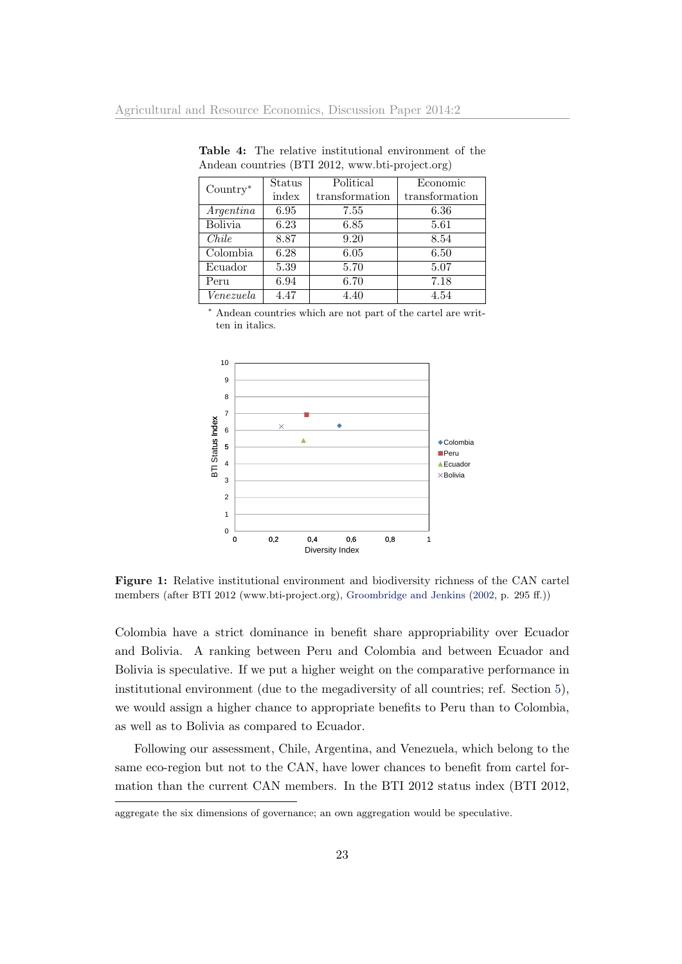| $Country*$     | Status | Political      | Economic       |
|----------------|--------|----------------|----------------|
|                | index  | transformation | transformation |
| Argentina      | 6.95   | 7.55           | 6.36           |
| <b>Bolivia</b> | 6.23   | 6.85           | 5.61           |
| Chile          | 8.87   | 9.20           | 8.54           |
| Colombia       | 6.28   | 6.05           | 6.50           |
| Ecuador        | 5.39   | 5.70           | 5.07           |
| Peru           | 6.94   | 6.70           | 7.18           |
| Venezuela      | 4.47   | 4.40           | 4.54           |

<span id="page-24-0"></span>Table 4: The relative institutional environment of the Andean countries (BTI 2012, www.bti-project.org)

<sup>∗</sup> Andean countries which are not part of the cartel are written in italics.



<span id="page-24-1"></span>Figure 1: Relative institutional environment and biodiversity richness of the CAN cartel members (after BTI 2012 (www.bti-project.org), [Groombridge and Jenkins](#page-30-11) [\(2002,](#page-30-11) p. 295 ff.))

Colombia have a strict dominance in benefit share appropriability over Ecuador and Bolivia. A ranking between Peru and Colombia and between Ecuador and Bolivia is speculative. If we put a higher weight on the comparative performance in institutional environment (due to the megadiversity of all countries; ref. Section [5\)](#page-13-0), we would assign a higher chance to appropriate benefits to Peru than to Colombia, as well as to Bolivia as compared to Ecuador.

Following our assessment, Chile, Argentina, and Venezuela, which belong to the same eco-region but not to the CAN, have lower chances to benefit from cartel formation than the current CAN members. In the BTI 2012 status index (BTI 2012,

aggregate the six dimensions of governance; an own aggregation would be speculative.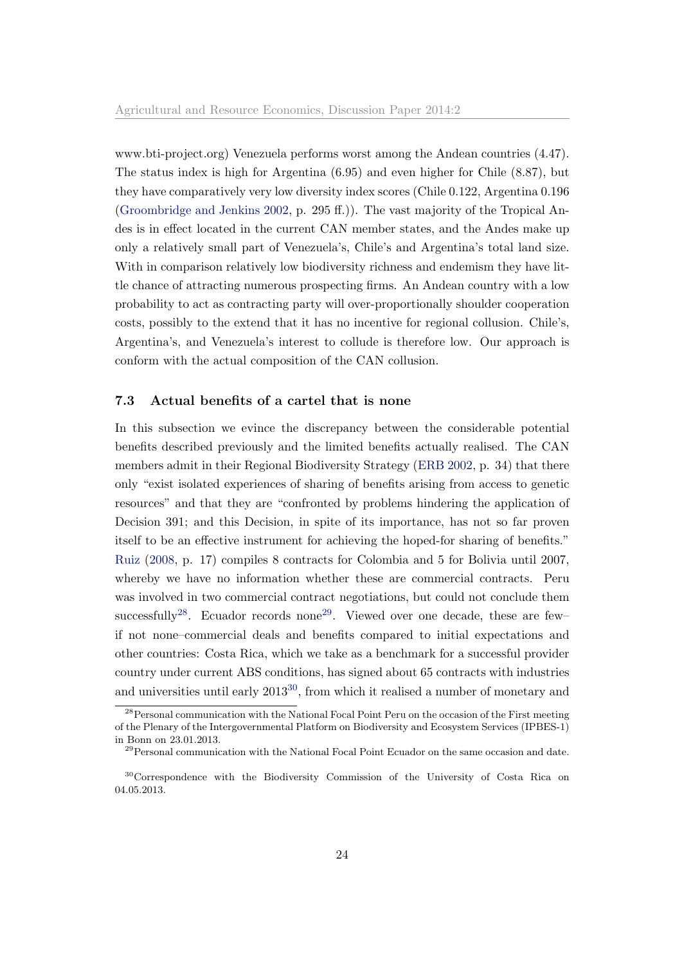www.bti-project.org) Venezuela performs worst among the Andean countries (4.47). The status index is high for Argentina (6.95) and even higher for Chile (8.87), but they have comparatively very low diversity index scores (Chile 0.122, Argentina 0.196 [\(Groombridge and Jenkins](#page-30-11) [2002,](#page-30-11) p. 295 ff.)). The vast majority of the Tropical Andes is in effect located in the current CAN member states, and the Andes make up only a relatively small part of Venezuela's, Chile's and Argentina's total land size. With in comparison relatively low biodiversity richness and endemism they have little chance of attracting numerous prospecting firms. An Andean country with a low probability to act as contracting party will over-proportionally shoulder cooperation costs, possibly to the extend that it has no incentive for regional collusion. Chile's, Argentina's, and Venezuela's interest to collude is therefore low. Our approach is conform with the actual composition of the CAN collusion.

#### <span id="page-25-0"></span>7.3 Actual benefits of a cartel that is none

In this subsection we evince the discrepancy between the considerable potential benefits described previously and the limited benefits actually realised. The CAN members admit in their Regional Biodiversity Strategy [\(ERB](#page-29-10) [2002,](#page-29-10) p. 34) that there only "exist isolated experiences of sharing of benefits arising from access to genetic resources" and that they are "confronted by problems hindering the application of Decision 391; and this Decision, in spite of its importance, has not so far proven itself to be an effective instrument for achieving the hoped-for sharing of benefits." [Ruiz](#page-31-10) [\(2008,](#page-31-10) p. 17) compiles 8 contracts for Colombia and 5 for Bolivia until 2007, whereby we have no information whether these are commercial contracts. Peru was involved in two commercial contract negotiations, but could not conclude them successfully<sup>[28](#page-1-0)</sup>. Ecuador records none<sup>[29](#page-1-0)</sup>. Viewed over one decade, these are few– if not none–commercial deals and benefits compared to initial expectations and other countries: Costa Rica, which we take as a benchmark for a successful provider country under current ABS conditions, has signed about 65 contracts with industries and universities until early 2013[30](#page-1-0), from which it realised a number of monetary and

<sup>&</sup>lt;sup>28</sup> Personal communication with the National Focal Point Peru on the occasion of the First meeting of the Plenary of the Intergovernmental Platform on Biodiversity and Ecosystem Services (IPBES-1) in Bonn on 23.01.2013.

 $29$ Personal communication with the National Focal Point Ecuador on the same occasion and date.

<sup>30</sup>Correspondence with the Biodiversity Commission of the University of Costa Rica on 04.05.2013.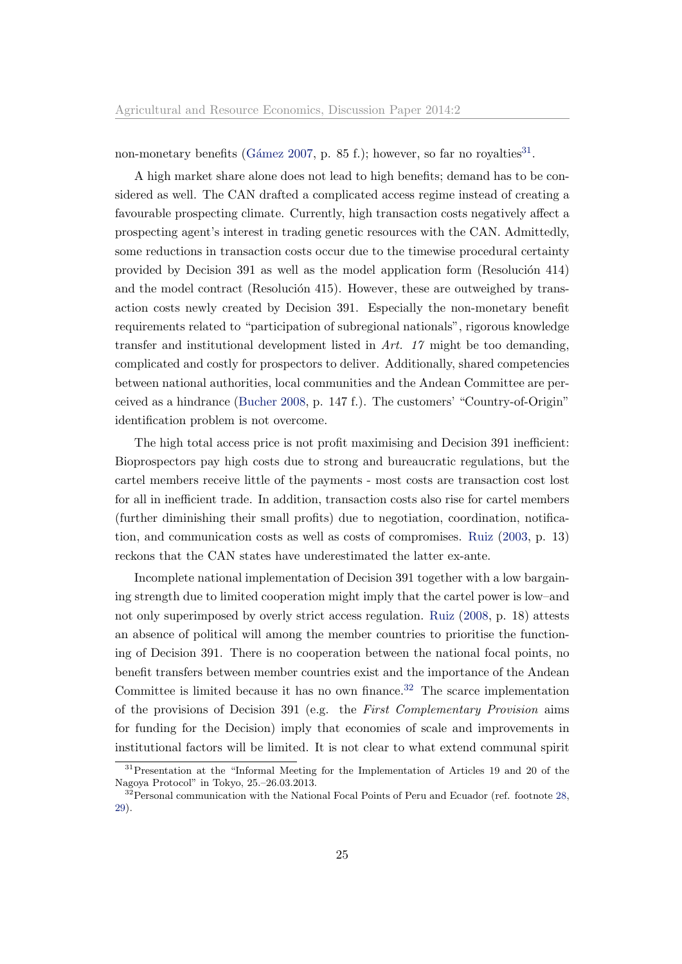non-monetary benefits (Gámez [2007,](#page-29-12) p. 85 f.); however, so far no royalties<sup>[31](#page-1-0)</sup>.

A high market share alone does not lead to high benefits; demand has to be considered as well. The CAN drafted a complicated access regime instead of creating a favourable prospecting climate. Currently, high transaction costs negatively affect a prospecting agent's interest in trading genetic resources with the CAN. Admittedly, some reductions in transaction costs occur due to the timewise procedural certainty provided by Decision  $391$  as well as the model application form (Resolución 414) and the model contract (Resolución 415). However, these are outweighed by transaction costs newly created by Decision 391. Especially the non-monetary benefit requirements related to "participation of subregional nationals", rigorous knowledge transfer and institutional development listed in  $Art. 17$  might be too demanding, complicated and costly for prospectors to deliver. Additionally, shared competencies between national authorities, local communities and the Andean Committee are perceived as a hindrance [\(Bucher](#page-29-6) [2008,](#page-29-6) p. 147 f.). The customers' "Country-of-Origin" identification problem is not overcome.

The high total access price is not profit maximising and Decision 391 inefficient: Bioprospectors pay high costs due to strong and bureaucratic regulations, but the cartel members receive little of the payments - most costs are transaction cost lost for all in inefficient trade. In addition, transaction costs also rise for cartel members (further diminishing their small profits) due to negotiation, coordination, notification, and communication costs as well as costs of compromises. [Ruiz](#page-31-5) [\(2003,](#page-31-5) p. 13) reckons that the CAN states have underestimated the latter ex-ante.

Incomplete national implementation of Decision 391 together with a low bargaining strength due to limited cooperation might imply that the cartel power is low–and not only superimposed by overly strict access regulation. [Ruiz](#page-31-10) [\(2008,](#page-31-10) p. 18) attests an absence of political will among the member countries to prioritise the functioning of Decision 391. There is no cooperation between the national focal points, no benefit transfers between member countries exist and the importance of the Andean Committee is limited because it has no own finance.<sup>[32](#page-1-0)</sup> The scarce implementation of the provisions of Decision 391 (e.g. the First Complementary Provision aims for funding for the Decision) imply that economies of scale and improvements in institutional factors will be limited. It is not clear to what extend communal spirit

<sup>&</sup>lt;sup>31</sup>Presentation at the "Informal Meeting for the Implementation of Articles 19 and 20 of the Nagoya Protocol" in Tokyo, 25.–26.03.2013.

 $32$  Personal communication with the National Focal Points of Peru and Ecuador (ref. footnote [28,](#page-25-0) [29\)](#page-25-0).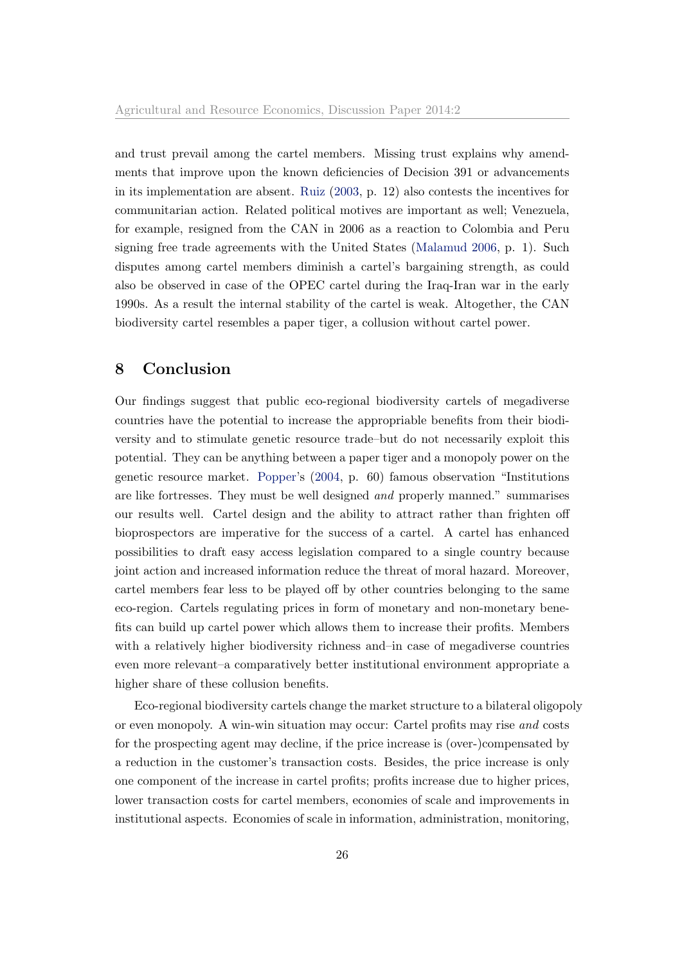and trust prevail among the cartel members. Missing trust explains why amendments that improve upon the known deficiencies of Decision 391 or advancements in its implementation are absent. [Ruiz](#page-31-5) [\(2003,](#page-31-5) p. 12) also contests the incentives for communitarian action. Related political motives are important as well; Venezuela, for example, resigned from the CAN in 2006 as a reaction to Colombia and Peru signing free trade agreements with the United States [\(Malamud](#page-30-12) [2006,](#page-30-12) p. 1). Such disputes among cartel members diminish a cartel's bargaining strength, as could also be observed in case of the OPEC cartel during the Iraq-Iran war in the early 1990s. As a result the internal stability of the cartel is weak. Altogether, the CAN biodiversity cartel resembles a paper tiger, a collusion without cartel power.

# <span id="page-27-0"></span>8 Conclusion

Our findings suggest that public eco-regional biodiversity cartels of megadiverse countries have the potential to increase the appropriable benefits from their biodiversity and to stimulate genetic resource trade–but do not necessarily exploit this potential. They can be anything between a paper tiger and a monopoly power on the genetic resource market. [Popper'](#page-31-11)s [\(2004,](#page-31-11) p. 60) famous observation "Institutions are like fortresses. They must be well designed and properly manned." summarises our results well. Cartel design and the ability to attract rather than frighten off bioprospectors are imperative for the success of a cartel. A cartel has enhanced possibilities to draft easy access legislation compared to a single country because joint action and increased information reduce the threat of moral hazard. Moreover, cartel members fear less to be played off by other countries belonging to the same eco-region. Cartels regulating prices in form of monetary and non-monetary benefits can build up cartel power which allows them to increase their profits. Members with a relatively higher biodiversity richness and–in case of megadiverse countries even more relevant–a comparatively better institutional environment appropriate a higher share of these collusion benefits.

Eco-regional biodiversity cartels change the market structure to a bilateral oligopoly or even monopoly. A win-win situation may occur: Cartel profits may rise and costs for the prospecting agent may decline, if the price increase is (over-)compensated by a reduction in the customer's transaction costs. Besides, the price increase is only one component of the increase in cartel profits; profits increase due to higher prices, lower transaction costs for cartel members, economies of scale and improvements in institutional aspects. Economies of scale in information, administration, monitoring,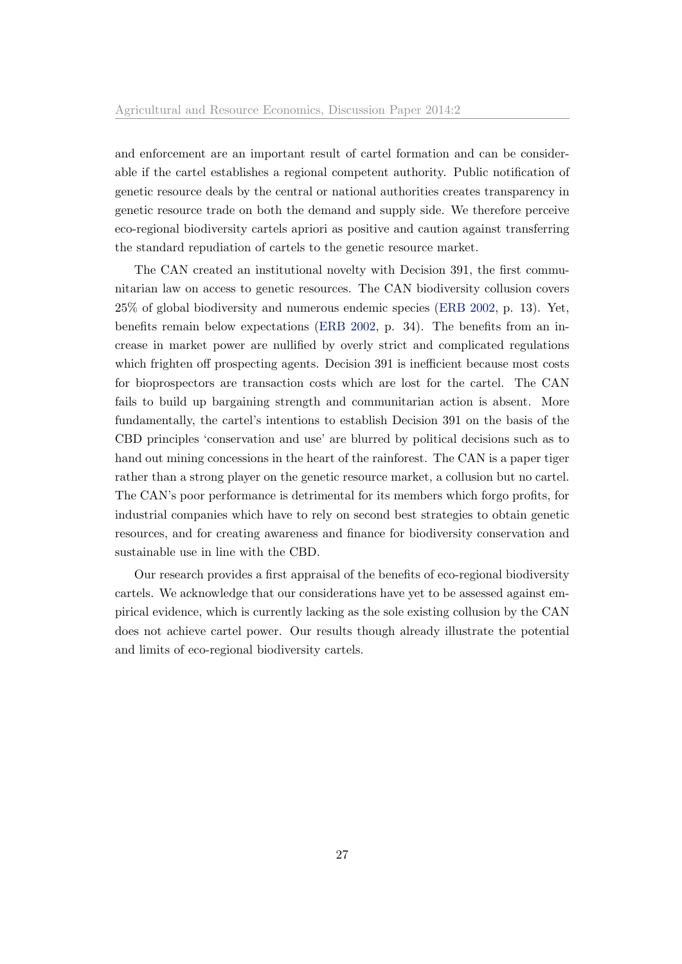and enforcement are an important result of cartel formation and can be considerable if the cartel establishes a regional competent authority. Public notification of genetic resource deals by the central or national authorities creates transparency in genetic resource trade on both the demand and supply side. We therefore perceive eco-regional biodiversity cartels apriori as positive and caution against transferring the standard repudiation of cartels to the genetic resource market.

The CAN created an institutional novelty with Decision 391, the first communitarian law on access to genetic resources. The CAN biodiversity collusion covers 25% of global biodiversity and numerous endemic species [\(ERB](#page-29-10) [2002,](#page-29-10) p. 13). Yet, benefits remain below expectations [\(ERB](#page-29-10) [2002,](#page-29-10) p. 34). The benefits from an increase in market power are nullified by overly strict and complicated regulations which frighten off prospecting agents. Decision 391 is inefficient because most costs for bioprospectors are transaction costs which are lost for the cartel. The CAN fails to build up bargaining strength and communitarian action is absent. More fundamentally, the cartel's intentions to establish Decision 391 on the basis of the CBD principles 'conservation and use' are blurred by political decisions such as to hand out mining concessions in the heart of the rainforest. The CAN is a paper tiger rather than a strong player on the genetic resource market, a collusion but no cartel. The CAN's poor performance is detrimental for its members which forgo profits, for industrial companies which have to rely on second best strategies to obtain genetic resources, and for creating awareness and finance for biodiversity conservation and sustainable use in line with the CBD.

Our research provides a first appraisal of the benefits of eco-regional biodiversity cartels. We acknowledge that our considerations have yet to be assessed against empirical evidence, which is currently lacking as the sole existing collusion by the CAN does not achieve cartel power. Our results though already illustrate the potential and limits of eco-regional biodiversity cartels.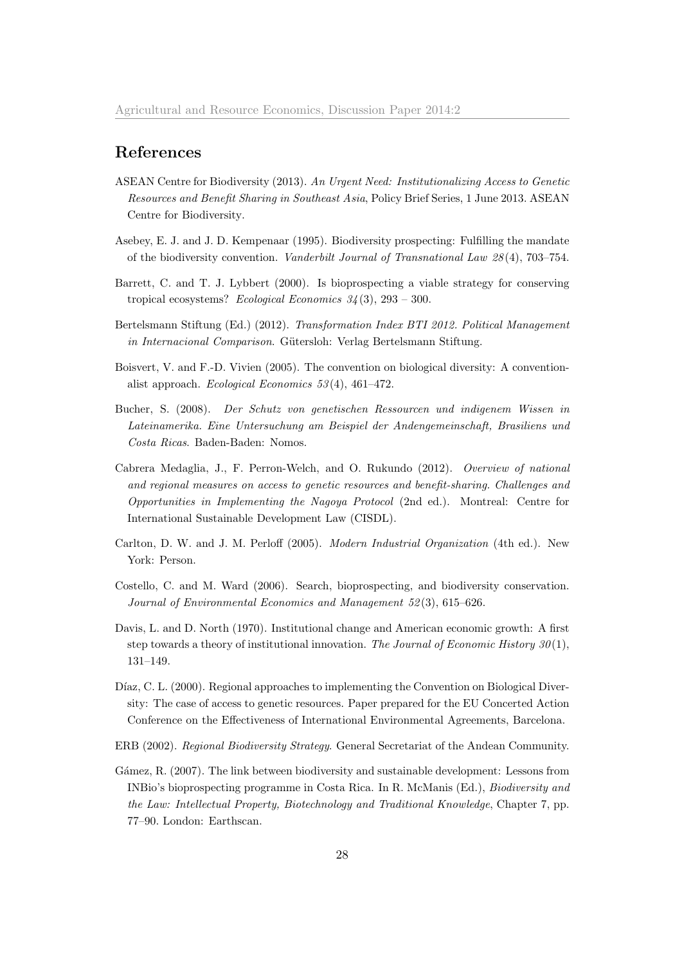# References

- <span id="page-29-1"></span>ASEAN Centre for Biodiversity (2013). An Urgent Need: Institutionalizing Access to Genetic Resources and Benefit Sharing in Southeast Asia, Policy Brief Series, 1 June 2013. ASEAN Centre for Biodiversity.
- <span id="page-29-5"></span>Asebey, E. J. and J. D. Kempenaar (1995). Biodiversity prospecting: Fulfilling the mandate of the biodiversity convention. Vanderbilt Journal of Transnational Law 28 (4), 703–754.
- <span id="page-29-2"></span>Barrett, C. and T. J. Lybbert (2000). Is bioprospecting a viable strategy for conserving tropical ecosystems? Ecological Economics  $34(3)$ ,  $293 - 300$ .
- <span id="page-29-11"></span>Bertelsmann Stiftung (Ed.) (2012). Transformation Index BTI 2012. Political Management in Internacional Comparison. Gütersloh: Verlag Bertelsmann Stiftung.
- <span id="page-29-4"></span>Boisvert, V. and F.-D. Vivien (2005). The convention on biological diversity: A conventionalist approach. Ecological Economics 53 (4), 461–472.
- <span id="page-29-6"></span>Bucher, S. (2008). Der Schutz von genetischen Ressourcen und indigenem Wissen in Lateinamerika. Eine Untersuchung am Beispiel der Andengemeinschaft, Brasiliens und Costa Ricas. Baden-Baden: Nomos.
- <span id="page-29-0"></span>Cabrera Medaglia, J., F. Perron-Welch, and O. Rukundo (2012). Overview of national and regional measures on access to genetic resources and benefit-sharing. Challenges and Opportunities in Implementing the Nagoya Protocol (2nd ed.). Montreal: Centre for International Sustainable Development Law (CISDL).
- <span id="page-29-7"></span>Carlton, D. W. and J. M. Perloff (2005). Modern Industrial Organization (4th ed.). New York: Person.
- <span id="page-29-3"></span>Costello, C. and M. Ward (2006). Search, bioprospecting, and biodiversity conservation. Journal of Environmental Economics and Management 52 (3), 615–626.
- <span id="page-29-8"></span>Davis, L. and D. North (1970). Institutional change and American economic growth: A first step towards a theory of institutional innovation. The Journal of Economic History  $30(1)$ , 131–149.
- <span id="page-29-9"></span>Díaz, C. L. (2000). Regional approaches to implementing the Convention on Biological Diversity: The case of access to genetic resources. Paper prepared for the EU Concerted Action Conference on the Effectiveness of International Environmental Agreements, Barcelona.
- <span id="page-29-10"></span>ERB (2002). Regional Biodiversity Strategy. General Secretariat of the Andean Community.
- <span id="page-29-12"></span>Gámez, R. (2007). The link between biodiversity and sustainable development: Lessons from INBio's bioprospecting programme in Costa Rica. In R. McManis (Ed.), Biodiversity and the Law: Intellectual Property, Biotechnology and Traditional Knowledge, Chapter 7, pp. 77–90. London: Earthscan.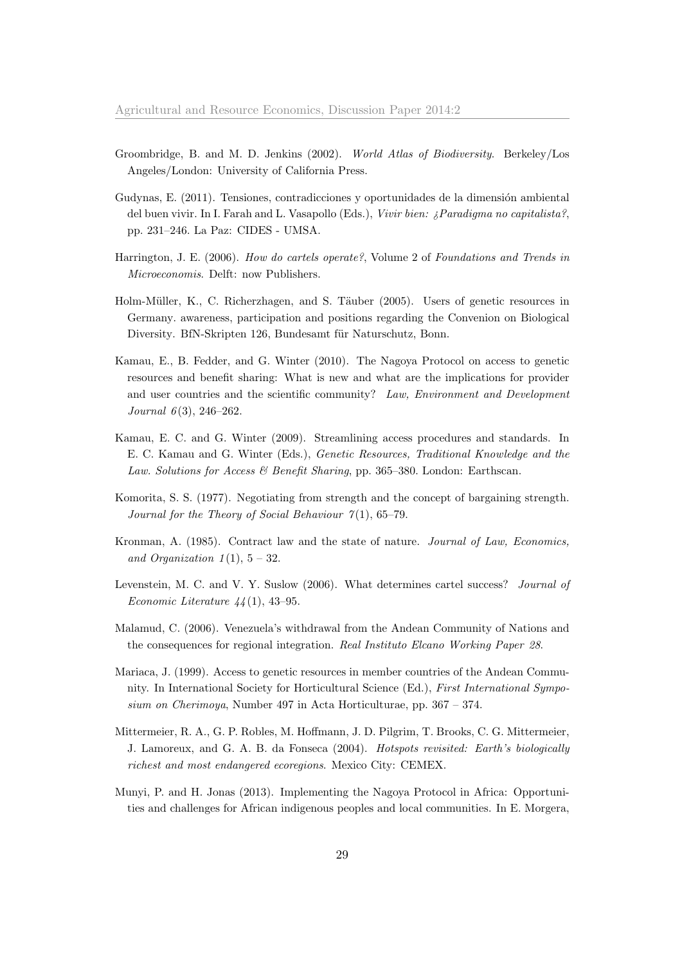- <span id="page-30-11"></span>Groombridge, B. and M. D. Jenkins (2002). World Atlas of Biodiversity. Berkeley/Los Angeles/London: University of California Press.
- <span id="page-30-9"></span>Gudynas, E. (2011). Tensiones, contradicciones y oportunidades de la dimensión ambiental del buen vivir. In I. Farah and L. Vasapollo (Eds.), Vivir bien: ¿Paradigma no capitalista?, pp. 231–246. La Paz: CIDES - UMSA.
- <span id="page-30-5"></span>Harrington, J. E. (2006). How do cartels operate?, Volume 2 of Foundations and Trends in Microeconomis. Delft: now Publishers.
- <span id="page-30-8"></span>Holm-Müller, K., C. Richerzhagen, and S. Täuber (2005). Users of genetic resources in Germany. awareness, participation and positions regarding the Convenion on Biological Diversity. BfN-Skripten 126, Bundesamt für Naturschutz, Bonn.
- <span id="page-30-1"></span>Kamau, E., B. Fedder, and G. Winter (2010). The Nagoya Protocol on access to genetic resources and benefit sharing: What is new and what are the implications for provider and user countries and the scientific community? Law, Environment and Development Journal  $6(3)$ , 246-262.
- <span id="page-30-4"></span>Kamau, E. C. and G. Winter (2009). Streamlining access procedures and standards. In E. C. Kamau and G. Winter (Eds.), Genetic Resources, Traditional Knowledge and the Law. Solutions for Access & Benefit Sharing, pp. 365–380. London: Earthscan.
- <span id="page-30-7"></span>Komorita, S. S. (1977). Negotiating from strength and the concept of bargaining strength. Journal for the Theory of Social Behaviour  $7(1)$ , 65-79.
- <span id="page-30-6"></span>Kronman, A. (1985). Contract law and the state of nature. Journal of Law, Economics, and Organization  $1(1)$ ,  $5-32$ .
- <span id="page-30-3"></span>Levenstein, M. C. and V. Y. Suslow (2006). What determines cartel success? Journal of Economic Literature  $44(1)$ , 43-95.
- <span id="page-30-12"></span>Malamud, C. (2006). Venezuela's withdrawal from the Andean Community of Nations and the consequences for regional integration. Real Instituto Elcano Working Paper 28.
- <span id="page-30-2"></span>Mariaca, J. (1999). Access to genetic resources in member countries of the Andean Community. In International Society for Horticultural Science (Ed.), First International Symposium on Cherimoya, Number 497 in Acta Horticulturae, pp. 367 – 374.
- <span id="page-30-10"></span>Mittermeier, R. A., G. P. Robles, M. Hoffmann, J. D. Pilgrim, T. Brooks, C. G. Mittermeier, J. Lamoreux, and G. A. B. da Fonseca (2004). Hotspots revisited: Earth's biologically richest and most endangered ecoregions. Mexico City: CEMEX.
- <span id="page-30-0"></span>Munyi, P. and H. Jonas (2013). Implementing the Nagoya Protocol in Africa: Opportunities and challenges for African indigenous peoples and local communities. In E. Morgera,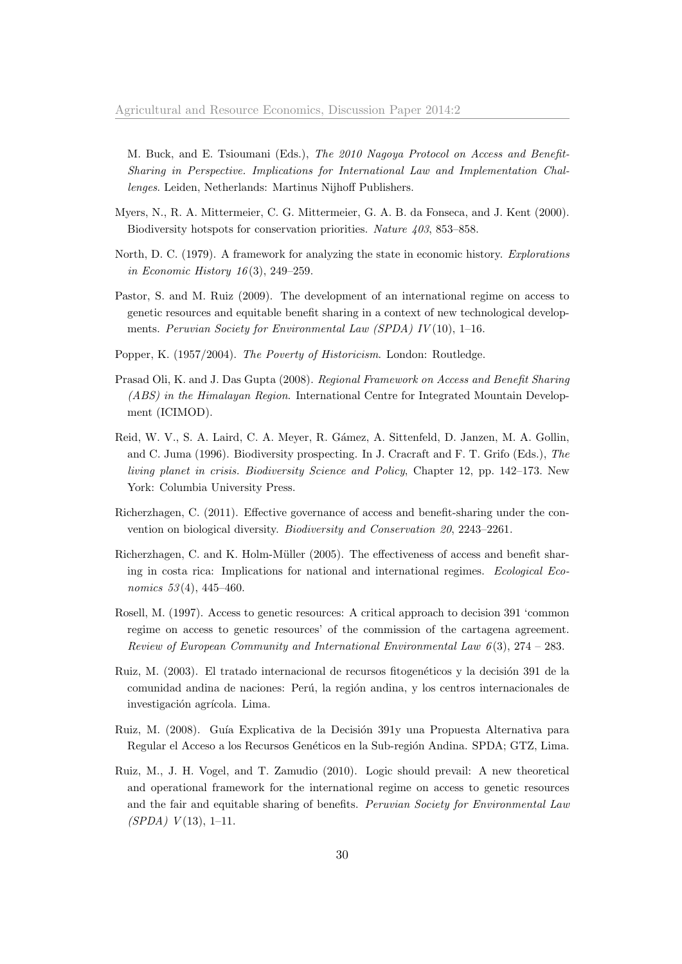M. Buck, and E. Tsioumani (Eds.), The 2010 Nagoya Protocol on Access and Benefit-Sharing in Perspective. Implications for International Law and Implementation Challenges. Leiden, Netherlands: Martinus Nijhoff Publishers.

- <span id="page-31-9"></span>Myers, N., R. A. Mittermeier, C. G. Mittermeier, G. A. B. da Fonseca, and J. Kent (2000). Biodiversity hotspots for conservation priorities. Nature 403, 853–858.
- <span id="page-31-7"></span>North, D. C. (1979). A framework for analyzing the state in economic history. Explorations in Economic History 16 (3), 249–259.
- <span id="page-31-1"></span>Pastor, S. and M. Ruiz (2009). The development of an international regime on access to genetic resources and equitable benefit sharing in a context of new technological developments. Peruvian Society for Environmental Law (SPDA) IV(10), 1-16.
- <span id="page-31-11"></span>Popper, K. (1957/2004). The Poverty of Historicism. London: Routledge.
- <span id="page-31-0"></span>Prasad Oli, K. and J. Das Gupta (2008). Regional Framework on Access and Benefit Sharing (ABS) in the Himalayan Region. International Centre for Integrated Mountain Development (ICIMOD).
- <span id="page-31-6"></span>Reid, W. V., S. A. Laird, C. A. Meyer, R. G´amez, A. Sittenfeld, D. Janzen, M. A. Gollin, and C. Juma (1996). Biodiversity prospecting. In J. Cracraft and F. T. Grifo (Eds.), The living planet in crisis. Biodiversity Science and Policy, Chapter 12, pp. 142–173. New York: Columbia University Press.
- <span id="page-31-2"></span>Richerzhagen, C. (2011). Effective governance of access and benefit-sharing under the convention on biological diversity. Biodiversity and Conservation 20, 2243–2261.
- <span id="page-31-8"></span>Richerzhagen, C. and K. Holm-Müller (2005). The effectiveness of access and benefit sharing in costa rica: Implications for national and international regimes. Ecological Economics 53(4), 445-460.
- <span id="page-31-4"></span>Rosell, M. (1997). Access to genetic resources: A critical approach to decision 391 'common regime on access to genetic resources' of the commission of the cartagena agreement. Review of European Community and International Environmental Law  $6(3)$ , 274 – 283.
- <span id="page-31-5"></span>Ruiz, M. (2003). El tratado internacional de recursos fitogenéticos y la decisión 391 de la comunidad andina de naciones: Perú, la región andina, y los centros internacionales de investigación agrícola. Lima.
- <span id="page-31-10"></span>Ruiz, M. (2008). Guía Explicativa de la Decisión 391y una Propuesta Alternativa para Regular el Acceso a los Recursos Genéticos en la Sub-región Andina. SPDA; GTZ, Lima.
- <span id="page-31-3"></span>Ruiz, M., J. H. Vogel, and T. Zamudio (2010). Logic should prevail: A new theoretical and operational framework for the international regime on access to genetic resources and the fair and equitable sharing of benefits. Peruvian Society for Environmental Law  $(SPDA)$   $V(13)$ , 1-11.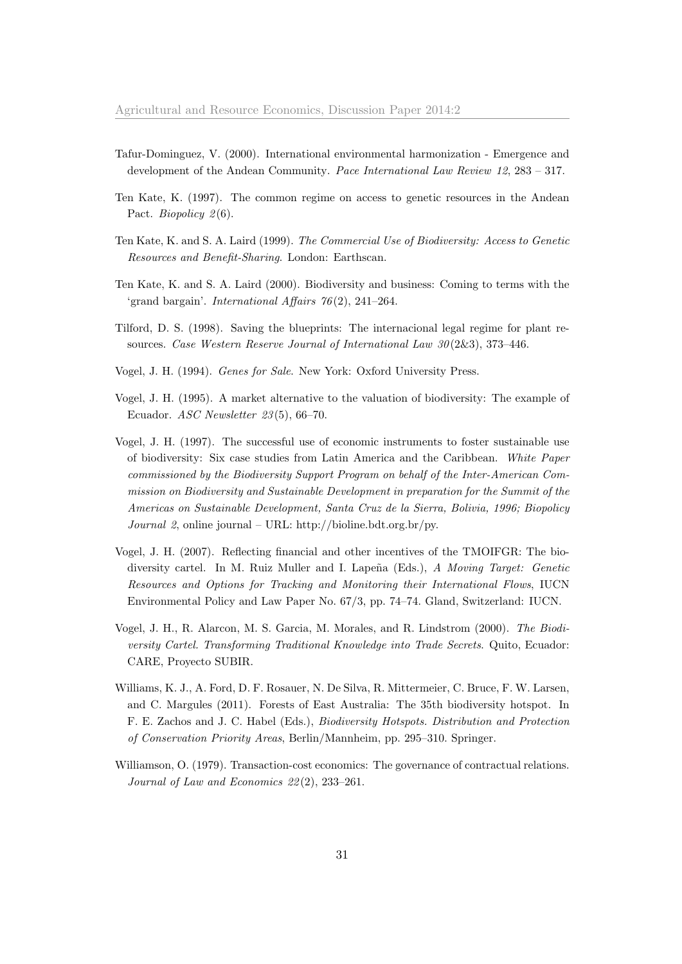- <span id="page-32-7"></span>Tafur-Dominguez, V. (2000). International environmental harmonization - Emergence and development of the Andean Community. Pace International Law Review 12, 283 – 317.
- <span id="page-32-6"></span>Ten Kate, K. (1997). The common regime on access to genetic resources in the Andean Pact. Biopolicy  $2(6)$ .
- <span id="page-32-9"></span>Ten Kate, K. and S. A. Laird (1999). The Commercial Use of Biodiversity: Access to Genetic Resources and Benefit-Sharing. London: Earthscan.
- <span id="page-32-1"></span>Ten Kate, K. and S. A. Laird (2000). Biodiversity and business: Coming to terms with the 'grand bargain'. International Affairs 76 (2), 241–264.
- <span id="page-32-5"></span>Tilford, D. S. (1998). Saving the blueprints: The internacional legal regime for plant resources. Case Western Reserve Journal of International Law 30 (2&3), 373–446.
- <span id="page-32-8"></span>Vogel, J. H. (1994). Genes for Sale. New York: Oxford University Press.
- <span id="page-32-2"></span>Vogel, J. H. (1995). A market alternative to the valuation of biodiversity: The example of Ecuador. ASC Newsletter 23 (5), 66–70.
- <span id="page-32-3"></span>Vogel, J. H. (1997). The successful use of economic instruments to foster sustainable use of biodiversity: Six case studies from Latin America and the Caribbean. White Paper commissioned by the Biodiversity Support Program on behalf of the Inter-American Commission on Biodiversity and Sustainable Development in preparation for the Summit of the Americas on Sustainable Development, Santa Cruz de la Sierra, Bolivia, 1996; Biopolicy Journal 2, online journal – URL: http://bioline.bdt.org.br/py.
- <span id="page-32-0"></span>Vogel, J. H. (2007). Reflecting financial and other incentives of the TMOIFGR: The biodiversity cartel. In M. Ruiz Muller and I. Lapeña (Eds.), A Moving Target: Genetic Resources and Options for Tracking and Monitoring their International Flows, IUCN Environmental Policy and Law Paper No. 67/3, pp. 74–74. Gland, Switzerland: IUCN.
- <span id="page-32-4"></span>Vogel, J. H., R. Alarcon, M. S. Garcia, M. Morales, and R. Lindstrom (2000). The Biodiversity Cartel. Transforming Traditional Knowledge into Trade Secrets. Quito, Ecuador: CARE, Proyecto SUBIR.
- <span id="page-32-11"></span>Williams, K. J., A. Ford, D. F. Rosauer, N. De Silva, R. Mittermeier, C. Bruce, F. W. Larsen, and C. Margules (2011). Forests of East Australia: The 35th biodiversity hotspot. In F. E. Zachos and J. C. Habel (Eds.), Biodiversity Hotspots. Distribution and Protection of Conservation Priority Areas, Berlin/Mannheim, pp. 295–310. Springer.
- <span id="page-32-10"></span>Williamson, O. (1979). Transaction-cost economics: The governance of contractual relations. Journal of Law and Economics 22 (2), 233–261.